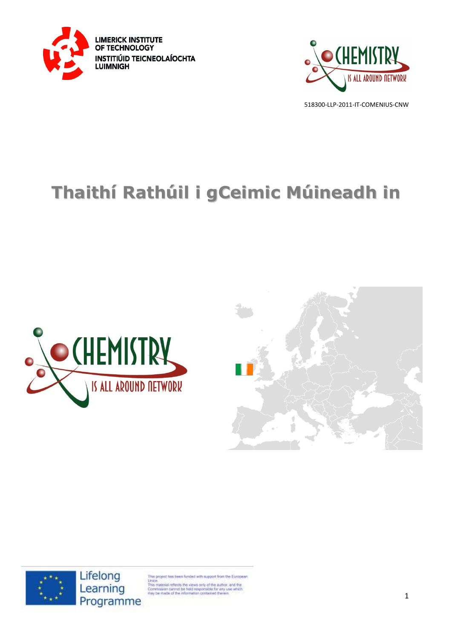



# **Thaithí Rathúil i gCeimic Múineadh in**







Lifelong Learning Programme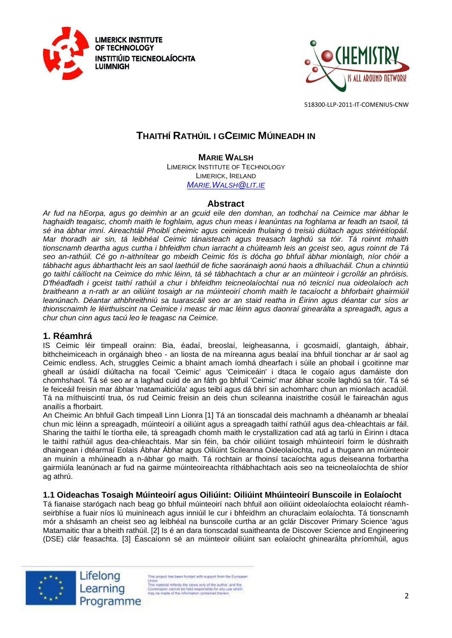



# **THAITHÍ RATHÚIL I GCEIMIC MÚINEADH IN**

**MARIE WALSH**

LIMERICK INSTITUTE OF TECHNOLOGY LIMERICK, IRELAND *MARIE.W[ALSH](mailto:Marie.Walsh@lit.ie)@LIT.IE*

# **Abstract**

*Ar fud na hEorpa, agus go deimhin ar an gcuid eile den domhan, an todhchaí na Ceimice mar ábhar le haghaidh teagaisc, chomh maith le foghlaim, agus chun meas i leanúntas na foghlama ar feadh an tsaoil, tá sé ina ábhar imní. Aireachtáil Phoiblí cheimic agus ceimiceán fhulaing ó treisiú diúltach agus stéiréitíopáil. Mar thoradh air sin, tá leibhéal Ceimic tánaisteach agus treasach laghdú sa tóir. Tá roinnt mhaith tionscnamh deartha agus curtha i bhfeidhm chun iarracht a chúiteamh leis an gceist seo, agus roinnt de Tá seo an-rathúil. Cé go n-aithnítear go mbeidh Ceimic fós is dócha go bhfuil ábhar mionlaigh, níor chóir a tábhacht agus ábharthacht leis an saol laethúil de fiche saoránaigh aonú haois a dhíluacháil. Chun a chinntiú go taithí cáilíocht na Ceimice do mhic léinn, tá sé tábhachtach a chur ar an múinteoir i gcroílár an phróisis. D'fhéadfadh i gceist taithí rathúil a chur i bhfeidhm teicneolaíochtaí nua nó teicnící nua oideolaíoch ach braitheann a n-rath ar an oiliúint tosaigh ar na múinteoirí chomh maith le tacaíocht a bhforbairt ghairmiúil leanúnach. Déantar athbhreithniú sa tuarascáil seo ar an staid reatha in Éirinn agus déantar cur síos ar thionscnaimh le léirthuiscint na Ceimice i measc ár mac léinn agus daonraí ginearálta a spreagadh, agus a chur chun cinn agus tacú leo le teagasc na Ceimice.* 

# **1. Réamhrá**

IS Ceimic léir timpeall orainn: Bia, éadaí, breoslaí, leigheasanna, i gcosmaidí, glantaigh, ábhair, bithcheimiceach in orgánaigh bheo - an liosta de na míreanna agus bealaí ina bhfuil tionchar ar ár saol ag Ceimic endless. Ach, struggles Ceimic a bhaint amach íomhá dhearfach i súile an phobail i gcoitinne mar gheall ar úsáidí diúltacha na focail 'Ceimic' agus 'Ceimiceáin' i dtaca le cogaío agus damáiste don chomhshaol. Tá sé seo ar a laghad cuid de an fáth go bhfuil 'Ceimic' mar ábhar scoile laghdú sa tóir. Tá sé le feiceáil freisin mar ábhar 'matamaiticiúla' agus teibí agus dá bhrí sin achomharc chun an mionlach acadúil. Tá na míthuiscintí trua, ós rud Ceimic freisin an deis chun scileanna inaistrithe cosúil le faireachán agus anailís a fhorbairt.

An Cheimic An bhfuil Gach timpeall Linn Líonra [1] Tá an tionscadal deis machnamh a dhéanamh ar bhealaí chun mic léinn a spreagadh, múinteoirí a oiliúint agus a spreagadh taithí rathúil agus dea-chleachtais ar fáil. Sharing the taithí le tíortha eile, tá spreagadh chomh maith le crystallization cad atá ag tarlú in Éirinn i dtaca le taithí rathúil agus dea-chleachtais. Mar sin féin, ba chóir oiliúint tosaigh mhúinteoirí foirm le dúshraith dhaingean i dtéarmaí Eolais Ábhar Ábhar agus Oiliúint Scileanna Oideolaíochta, rud a thugann an múinteoir an muinín a mhúineadh a n-ábhar go maith. Tá rochtain ar fhoinsí tacaíochta agus deiseanna forbartha gairmiúla leanúnach ar fud na gairme múinteoireachta ríthábhachtach aois seo na teicneolaíochta de shíor ag athrú.

# **1.1 Oideachas Tosaigh Múinteoirí agus Oiliúint: Oiliúint Mhúinteoirí Bunscoile in Eolaíocht**

Tá fianaise starógach nach beag go bhfuil múinteoirí nach bhfuil aon oiliúint oideolaíochta eolaíocht réamhseirbhíse a fuair níos lú muiníneach agus inniúil le cur i bhfeidhm an churaclaim eolaíochta. Tá tionscnamh mór a shásamh an cheist seo ag leibhéal na bunscoile curtha ar an gclár Discover Primary Science 'agus Matamaitic thar a bheith rathúil. [2] Is é an dara tionscadal suaitheanta de Discover Science and Engineering (DSE) clár feasachta. [3] Éascaíonn sé an múinteoir oiliúint san eolaíocht ghinearálta phríomhúil, agus



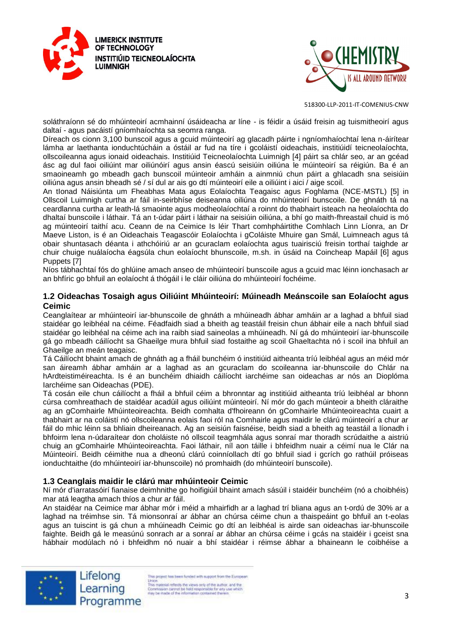



soláthraíonn sé do mhúinteoirí acmhainní úsáideacha ar líne - is féidir a úsáid freisin ag tuismitheoirí agus daltaí - agus pacáistí gníomhaíochta sa seomra ranga.

Díreach os cionn 3,100 bunscoil agus a gcuid múinteoirí ag glacadh páirte i ngníomhaíochtaí lena n-áirítear lámha ar laethanta ionduchtúcháin a óstáil ar fud na tíre i gcoláistí oideachais, institiúidí teicneolaíochta, ollscoileanna agus ionaid oideachais. Institiúid Teicneolaíochta Luimnigh [4] páirt sa chlár seo, ar an gcéad ásc ag dul faoi oiliúint mar oiliúnóirí agus ansin éascú seisiúin oiliúna le múinteoirí sa réigiún. Ba é an smaoineamh go mbeadh gach bunscoil múinteoir amháin a ainmniú chun páirt a ghlacadh sna seisiúin oiliúna agus ansin bheadh sé / sí dul ar ais go dtí múinteoirí eile a oiliúint i aici / aige scoil.

An tIonad Náisiúnta um Fheabhas Mata agus Eolaíochta Teagaisc agus Foghlama (NCE-MSTL) [5] in Ollscoil Luimnigh curtha ar fáil in-seirbhíse deiseanna oiliúna do mhúinteoirí bunscoile. De ghnáth tá na ceardlanna curtha ar leath-lá smaointe agus modheolaíochtaí a roinnt do thabhairt isteach na heolaíochta do dhaltaí bunscoile i láthair. Tá an t-údar páirt i láthair na seisiúin oiliúna, a bhí go maith-fhreastail chuid is mó ag múinteoirí taithí acu. Ceann de na Ceimice Is léir Thart comhpháirtithe Comhlach Linn Líonra, an Dr Maeve Liston, is é an Oideachais Teagascóir Eolaíochta i gColáiste Mhuire gan Smál, Luimneach agus tá obair shuntasach déanta i athchóiriú ar an gcuraclam eolaíochta agus tuairisciú freisin torthaí taighde ar chuir chuige nuálaíocha éagsúla chun eolaíocht bhunscoile, m.sh. in úsáid na Coincheap Mapáil [6] agus Puppets [7]

Níos tábhachtaí fós do ghlúine amach anseo de mhúinteoirí bunscoile agus a gcuid mac léinn ionchasach ar an bhfíric go bhfuil an eolaíocht á thógáil i le cláir oiliúna do mhúinteoirí fochéime.

#### **1.2 Oideachas Tosaigh agus Oiliúint Mhúinteoirí: Múineadh Meánscoile san Eolaíocht agus Ceimic**

Ceanglaítear ar mhúinteoirí iar-bhunscoile de ghnáth a mhúineadh ábhar amháin ar a laghad a bhfuil siad staidéar go leibhéal na céime. Féadfaidh siad a bheith ag teastáil freisin chun ábhair eile a nach bhfuil siad staidéar go leibhéal na céime ach ina raibh siad saineolas a mhúineadh. Ní gá do mhúinteoirí iar-bhunscoile gá go mbeadh cáilíocht sa Ghaeilge mura bhfuil siad fostaithe ag scoil Ghaeltachta nó i scoil ina bhfuil an Ghaeilge an meán teagaisc.

Tá Cáilíocht bhaint amach de ghnáth ag a fháil bunchéim ó institiúid aitheanta tríú leibhéal agus an méid mór san áireamh ábhar amháin ar a laghad as an gcuraclam do scoileanna iar-bhunscoile do Chlár na hArdteistiméireachta. Is é an bunchéim dhiaidh cáilíocht iarchéime san oideachas ar nós an Dioplóma Iarchéime san Oideachas (PDE).

Tá cosán eile chun cáilíocht a fháil a bhfuil céim a bhronntar ag institiúid aitheanta tríú leibhéal ar bhonn cúrsa comhreathach de staidéar acadúil agus oiliúint múinteoirí. Ní mór do gach múinteoir a bheith cláraithe ag an gComhairle Mhúinteoireachta. Beidh comhalta d'fhoireann ón gComhairle Mhúinteoireachta cuairt a thabhairt ar na coláistí nó ollscoileanna eolais faoi ról na Comhairle agus maidir le clárú múinteoirí a chur ar fáil do mhic léinn sa bhliain dheireanach. Ag an seisiún faisnéise, beidh siad a bheith ag teastáil a líonadh i bhfoirm lena n-údaraítear don choláiste nó ollscoil teagmhála agus sonraí mar thoradh scrúdaithe a aistriú chuig an gComhairle Mhúinteoireachta. Faoi láthair, níl aon táille i bhfeidhm nuair a céimí nua le Clár na Múinteoirí. Beidh céimithe nua a dheonú clárú coinníollach dtí go bhfuil siad i gcrích go rathúil próiseas ionduchtaithe (do mhúinteoirí iar-bhunscoile) nó promhaidh (do mhúinteoirí bunscoile).

# **1.3 Ceanglais maidir le clárú mar mhúinteoir Ceimic**

Ní mór d'iarratasóirí fianaise deimhnithe go hoifigiúil bhaint amach sásúil i staidéir bunchéim (nó a choibhéis) mar atá leagtha amach thíos a chur ar fáil.

An staidéar na Ceimice mar ábhar mór i méid a mhairfidh ar a laghad trí bliana agus an t-ordú de 30% ar a laghad na tréimhse sin. Tá mionsonraí ar ábhar an chúrsa céime chun a thaispeáint go bhfuil an t-eolas agus an tuiscint is gá chun a mhúineadh Ceimic go dtí an leibhéal is airde san oideachas iar-bhunscoile faighte. Beidh gá le measúnú sonrach ar a sonraí ar ábhar an chúrsa céime i gcás na staidéir i gceist sna hábhair modúlach nó i bhfeidhm nó nuair a bhí staidéar i réimse ábhar a bhaineann le coibhéise a





s project has been funded with support from the European Union.<br>This material reflects the views only of the author, and the<br>Commission cannot be hild responsible for any use which<br>may be made of the information contained therein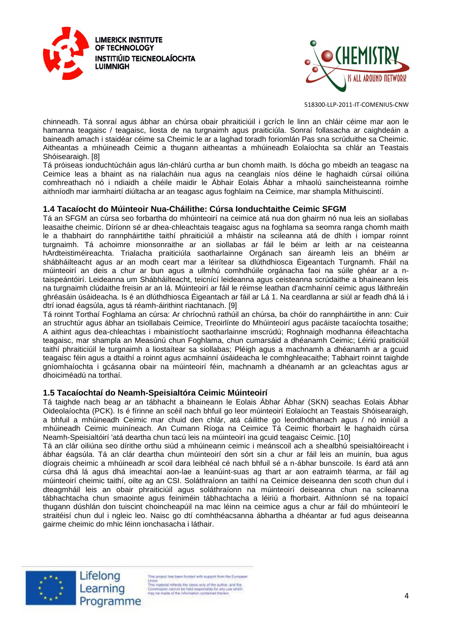



chinneadh. Tá sonraí agus ábhar an chúrsa obair phraiticiúil i gcrích le linn an chláir céime mar aon le hamanna teagaisc / teagaisc, liosta de na turgnaimh agus praiticiúla. Sonraí follasacha ar caighdeáin a baineadh amach i staidéar céime sa Cheimic le ar a laghad toradh foriomlán Pas sna scrúduithe sa Cheimic. Aitheantas a mhúineadh Ceimic a thugann aitheantas a mhúineadh Eolaíochta sa chlár an Teastais Shóisearaigh. [8]

Tá próiseas ionduchtúcháin agus lán-chlárú curtha ar bun chomh maith. Is dócha go mbeidh an teagasc na Ceimice leas a bhaint as na rialacháin nua agus na ceanglais níos déine le haghaidh cúrsaí oiliúna comhreathach nó i ndiaidh a chéile maidir le Ábhair Eolais Ábhar a mhaolú saincheisteanna roimhe aithníodh mar iarmhairtí diúltacha ar an teagasc agus foghlaim na Ceimice, mar shampla Míthuiscintí.

#### **1.4 Tacaíocht do Múinteoir Nua-Cháilithe: Cúrsa Ionduchtaithe Ceimic SFGM**

Tá an SFGM an cúrsa seo forbartha do mhúinteoirí na ceimice atá nua don ghairm nó nua leis an siollabas leasaithe cheimic. Díríonn sé ar dhea-chleachtais teagaisc agus na foghlama sa seomra ranga chomh maith le a thabhairt do rannpháirtithe taithí phraiticiúil a mháistir na scileanna atá de dhíth i iompar roinnt turgnaimh. Tá achoimre mionsonraithe ar an siollabas ar fáil le béim ar leith ar na ceisteanna hArdteistiméireachta. Trialacha praiticiúla saotharlainne Orgánach san áireamh leis an bhéim ar shábháilteacht agus ar an modh ceart mar a léirítear sa dlúthdhiosca Éigeantach Turgnamh. Fháil na múinteoirí an deis a chur ar bun agus a ullmhú comhdhúile orgánacha faoi na súile ghéar ar a ntaispeántóirí. Leideanna um Shábháilteacht, teicnící leideanna agus ceisteanna scrúdaithe a bhaineann leis na turgnaimh clúdaithe freisin ar an lá. Múinteoirí ar fáil le réimse leathan d'acmhainní ceimic agus láithreáin ghréasáin úsáideacha. Is é an dlúthdhiosca Éigeantach ar fáil ar Lá 1. Na ceardlanna ar siúl ar feadh dhá lá i dtrí ionad éagsúla, agus tá réamh-áirithint riachtanach. [9]

Tá roinnt Torthaí Foghlama an cúrsa: Ar chríochnú rathúil an chúrsa, ba chóir do rannpháirtithe in ann: Cuir an struchtúr agus ábhar an tsiollabais Ceimice, Treoirlínte do Mhúinteoirí agus pacáiste tacaíochta tosaithe; A aithint agus dea-chleachtas i mbainistíocht saotharlainne imscrúdú; Roghnaigh modhanna éifeachtacha teagaisc, mar shampla an Measúnú chun Foghlama, chun cumarsáid a dhéanamh Ceimic; Léiriú praiticiúil taithí phraiticiúil le turgnaimh a liostaítear sa siollabas; Pléigh agus a machnamh a dhéanamh ar a gcuid teagaisc féin agus a dtaithí a roinnt agus acmhainní úsáideacha le comhghleacaithe; Tabhairt roinnt taighde gníomhaíochta i gcásanna obair na múinteoirí féin, machnamh a dhéanamh ar an gcleachtas agus ar dhoiciméadú na torthaí.

#### **1.5 Tacaíochtaí do Neamh-Speisialtóra Ceimic Múinteoirí**

Tá taighde nach beag ar an tábhacht a bhaineann le Eolais Ábhar Ábhar (SKN) seachas Eolais Ábhar Oideolaíochta (PCK). Is é fírinne an scéil nach bhfuil go leor múinteoirí Eolaíocht an Teastais Shóisearaigh, a bhfuil a mhúineadh Ceimic mar chuid den chlár, atá cáilithe go leordhóthanach agus / nó inniúil a mhúineadh Ceimic muiníneach. An Cumann Ríoga na Ceimice Tá Ceimic fhorbairt le haghaidh cúrsa Neamh-Speisialtóirí 'atá deartha chun tacú leis na múinteoirí ina gcuid teagaisc Ceimic. [10]

Tá an clár oiliúna seo dírithe orthu siúd a mhúineann ceimic i meánscoil ach a shealbhú speisialtóireacht i ábhar éagsúla. Tá an clár deartha chun múinteoirí den sórt sin a chur ar fáil leis an muinín, bua agus díograis cheimic a mhúineadh ar scoil dara leibhéal cé nach bhfuil sé a n-ábhar bunscoile. Is éard atá ann cúrsa dhá lá agus dhá imeachtaí aon-lae a leanúint-suas ag thart ar aon eatraimh téarma, ar fáil ag múinteoirí cheimic taithí, oilte ag an CSI. Soláthraíonn an taithí na Ceimice deiseanna den scoth chun dul i dteagmháil leis an obair phraiticiúil agus soláthraíonn na múinteoirí deiseanna chun na scileanna tábhachtacha chun smaointe agus feiniméin tábhachtacha a léiriú a fhorbairt. Aithníonn sé na topaicí thugann dúshlán don tuiscint choincheapúil na mac léinn na ceimice agus a chur ar fáil do mhúinteoirí le straitéisí chun dul i ngleic leo. Naisc go dtí comhthéacsanna ábhartha a dhéantar ar fud agus deiseanna gairme cheimic do mhic léinn ionchasacha i láthair.





is project has been funded with support from the European Union<br>
This material reflects the views only of the author, and the<br>
This material reflects the views only of the author, and the<br>
free parameters cannot be hidd responsible for any use which<br>
rely be made of the informat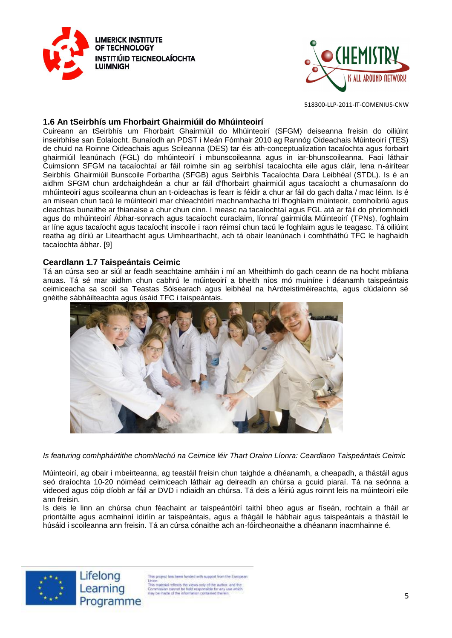



#### **1.6 An tSeirbhís um Fhorbairt Ghairmiúil do Mhúinteoirí**

Cuireann an tSeirbhís um Fhorbairt Ghairmiúil do Mhúinteoirí (SFGM) deiseanna freisin do oiliúint inseirbhíse san Eolaíocht. Bunaíodh an PDST i Meán Fómhair 2010 ag Rannóg Oideachais Múinteoirí (TES) de chuid na Roinne Oideachais agus Scileanna (DES) tar éis ath-conceptualization tacaíochta agus forbairt ghairmiúil leanúnach (FGL) do mhúinteoirí i mbunscoileanna agus in iar-bhunscoileanna. Faoi láthair Cuimsíonn SFGM na tacaíochtaí ar fáil roimhe sin ag seirbhísí tacaíochta eile agus cláir, lena n-áirítear Seirbhís Ghairmiúil Bunscoile Forbartha (SFGB) agus Seirbhís Tacaíochta Dara Leibhéal (STDL). Is é an aidhm SFGM chun ardchaighdeán a chur ar fáil d'fhorbairt ghairmiúil agus tacaíocht a chumasaíonn do mhúinteoirí agus scoileanna chun an t-oideachas is fearr is féidir a chur ar fáil do gach dalta / mac léinn. Is é an misean chun tacú le múinteoirí mar chleachtóirí machnamhacha trí fhoghlaim múinteoir, comhoibriú agus cleachtas bunaithe ar fhianaise a chur chun cinn. I measc na tacaíochtaí agus FGL atá ar fáil do phríomhoidí agus do mhúinteoirí Ábhar-sonrach agus tacaíocht curaclaim, líonraí gairmiúla Múinteoirí (TPNs), foghlaim ar líne agus tacaíocht agus tacaíocht inscoile i raon réimsí chun tacú le foghlaim agus le teagasc. Tá oiliúint reatha ag díriú ar Litearthacht agus Uimhearthacht, ach tá obair leanúnach i comhtháthú TFC le haghaidh tacaíochta ábhar. [9]

#### **Ceardlann 1.7 Taispeántais Ceimic**

Tá an cúrsa seo ar siúl ar feadh seachtaine amháin i mí an Mheithimh do gach ceann de na hocht mbliana anuas. Tá sé mar aidhm chun cabhrú le múinteoirí a bheith níos mó muiníne i déanamh taispeántais ceimiceacha sa scoil sa Teastas Sóisearach agus leibhéal na hArdteistiméireachta, agus clúdaíonn sé gnéithe sábháilteachta agus úsáid TFC i taispeántais.



*Is featuring comhpháirtithe chomhlachú na Ceimice léir Thart Orainn Líonra: Ceardlann Taispeántais Ceimic* 

Múinteoirí, ag obair i mbeirteanna, ag teastáil freisin chun taighde a dhéanamh, a cheapadh, a thástáil agus seó draíochta 10-20 nóiméad ceimiceach láthair ag deireadh an chúrsa a gcuid piaraí. Tá na seónna a videoed agus cóip díobh ar fáil ar DVD i ndiaidh an chúrsa. Tá deis a léiriú agus roinnt leis na múinteoirí eile ann freisin.

Is deis le linn an chúrsa chun féachaint ar taispeántóirí taithí bheo agus ar físeán, rochtain a fháil ar priontáilte agus acmhainní idirlín ar taispeántais, agus a fhágáil le hábhair agus taispeántais a thástáil le húsáid i scoileanna ann freisin. Tá an cúrsa cónaithe ach an-fóirdheonaithe a dhéanann inacmhainne é.



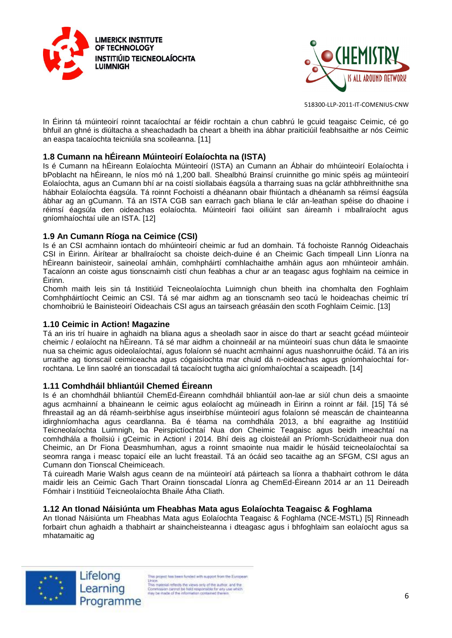



In Éirinn tá múinteoirí roinnt tacaíochtaí ar féidir rochtain a chun cabhrú le gcuid teagaisc Ceimic, cé go bhfuil an ghné is diúltacha a sheachadadh ba cheart a bheith ina ábhar praiticiúil feabhsaithe ar nós Ceimic an easpa tacaíochta teicniúla sna scoileanna. [11]

#### **1.8 Cumann na hÉireann Múinteoirí Eolaíochta na (ISTA)**

Is é Cumann na hÉireann Eolaíochta Múinteoirí (ISTA) an Cumann an Ábhair do mhúinteoirí Eolaíochta i bPoblacht na hÉireann, le níos mó ná 1,200 ball. Shealbhú Brainsí cruinnithe go minic spéis ag múinteoirí Eolaíochta, agus an Cumann bhí ar na coistí siollabais éagsúla a tharraing suas na gclár athbhreithnithe sna hábhair Eolaíochta éagsúla. Tá roinnt Fochoistí a dhéanann obair fhiúntach a dhéanamh sa réimsí éagsúla ábhar ag an gCumann. Tá an ISTA CGB san earrach gach bliana le clár an-leathan spéise do dhaoine i réimsí éagsúla den oideachas eolaíochta. Múinteoirí faoi oiliúint san áireamh i mballraíocht agus gníomhaíochtaí uile an ISTA. [12]

#### **1.9 An Cumann Ríoga na Ceimice (CSI)**

Is é an CSI acmhainn iontach do mhúinteoirí cheimic ar fud an domhain. Tá fochoiste Rannóg Oideachais CSI in Éirinn. Áirítear ar bhallraíocht sa choiste deich-duine é an Cheimic Gach timpeall Linn Líonra na hÉireann bainisteoir, saineolaí amháin, comhpháirtí comhlachaithe amháin agus aon mhúinteoir amháin. Tacaíonn an coiste agus tionscnaimh cistí chun feabhas a chur ar an teagasc agus foghlaim na ceimice in Éirinn.

Chomh maith leis sin tá Institiúid Teicneolaíochta Luimnigh chun bheith ina chomhalta den Foghlaim Comhpháirtíocht Ceimic an CSI. Tá sé mar aidhm ag an tionscnamh seo tacú le hoideachas cheimic trí chomhoibriú le Bainisteoirí Oideachais CSI agus an tairseach gréasáin den scoth Foghlaim Ceimic. [13]

# **1.10 Ceimic in Action! Magazine**

Tá an iris trí huaire in aghaidh na bliana agus a sheoladh saor in aisce do thart ar seacht gcéad múinteoir cheimic / eolaíocht na hÉireann. Tá sé mar aidhm a choinneáil ar na múinteoirí suas chun dáta le smaointe nua sa cheimic agus oideolaíochtaí, agus folaíonn sé nuacht acmhainní agus nuashonruithe ócáid. Tá an iris urraithe ag tionscail ceimiceacha agus cógaisíochta mar chuid dá n-oideachas agus gníomhaíochtaí forrochtana. Le linn saolré an tionscadail tá tacaíocht tugtha aici gníomhaíochtaí a scaipeadh. [14]

#### **1.11 Comhdháil bhliantúil Chemed Éireann**

Is é an chomhdháil bhliantúil ChemEd-Éireann comhdháil bhliantúil aon-lae ar siúl chun deis a smaointe agus acmhainní a bhaineann le ceimic agus eolaíocht ag múineadh in Éirinn a roinnt ar fáil. [15] Tá sé fhreastail ag an dá réamh-seirbhíse agus inseirbhíse múinteoirí agus folaíonn sé meascán de chainteanna idirghníomhacha agus ceardlanna. Ba é téama na comhdhála 2013, a bhí eagraithe ag Institiúid Teicneolaíochta Luimnigh, ba Peirspictíochtaí Nua don Cheimic Teagaisc agus beidh imeachtaí na comhdhála a fhoilsiú i gCeimic in Action! i 2014. Bhí deis ag cloisteáil an Príomh-Scrúdaitheoir nua don Cheimic, an Dr Fiona Deasmhumhan, agus a roinnt smaointe nua maidir le húsáid teicneolaíochtaí sa seomra ranga i measc topaicí eile an lucht freastail. Tá an ócáid seo tacaithe ag an SFGM, CSI agus an Cumann don Tionscal Cheimiceach.

Tá cuireadh Marie Walsh agus ceann de na múinteoirí atá páirteach sa líonra a thabhairt cothrom le dáta maidir leis an Ceimic Gach Thart Orainn tionscadal Líonra ag ChemEd-Éireann 2014 ar an 11 Deireadh Fómhair i Institiúid Teicneolaíochta Bhaile Átha Cliath.

#### **1.12 An tIonad Náisiúnta um Fheabhas Mata agus Eolaíochta Teagaisc & Foghlama**

An tIonad Náisiúnta um Fheabhas Mata agus Eolaíochta Teagaisc & Foghlama (NCE-MSTL) [5] Rinneadh forbairt chun aghaidh a thabhairt ar shaincheisteanna i dteagasc agus i bhfoghlaim san eolaíocht agus sa mhatamaitic ag





is project has been funded with support from the European Union<br>
This material reflects the views only of the author, and the<br>
This material reflects the views only of the author, and the<br>
free parameters cannot be hidd responsible for any use which<br>
rely be made of the informat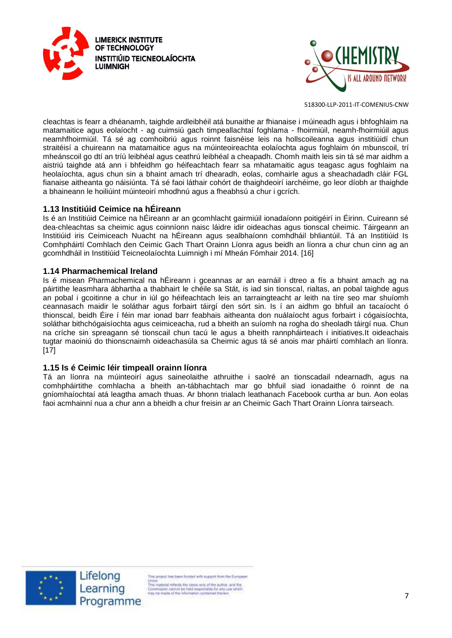



cleachtas is fearr a dhéanamh, taighde ardleibhéil atá bunaithe ar fhianaise i múineadh agus i bhfoghlaim na matamaitice agus eolaíocht - ag cuimsiú gach timpeallachtaí foghlama - fhoirmiúil, neamh-fhoirmiúil agus neamhfhoirmiúil. Tá sé ag comhoibriú agus roinnt faisnéise leis na hollscoileanna agus institiúidí chun straitéisí a chuireann na matamaitice agus na múinteoireachta eolaíochta agus foghlaim ón mbunscoil, trí mheánscoil go dtí an tríú leibhéal agus ceathrú leibhéal a cheapadh. Chomh maith leis sin tá sé mar aidhm a aistriú taighde atá ann i bhfeidhm go héifeachtach fearr sa mhatamaitic agus teagasc agus foghlaim na heolaíochta, agus chun sin a bhaint amach trí dhearadh, eolas, comhairle agus a sheachadadh cláir FGL fianaise aitheanta go náisiúnta. Tá sé faoi láthair cohórt de thaighdeoirí iarchéime, go leor díobh ar thaighde a bhaineann le hoiliúint múinteoirí mhodhnú agus a fheabhsú a chur i gcrích.

# **1.13 Institiúid Ceimice na hÉireann**

Is é an Institiúid Ceimice na hÉireann ar an gcomhlacht gairmiúil ionadaíonn poitigéirí in Éirinn. Cuireann sé dea-chleachtas sa cheimic agus coinníonn naisc láidre idir oideachas agus tionscal cheimic. Táirgeann an Institiúid iris Ceimiceach Nuacht na hÉireann agus sealbhaíonn comhdháil bhliantúil. Tá an Institiúid Is Comhpháirtí Comhlach den Ceimic Gach Thart Orainn Líonra agus beidh an líonra a chur chun cinn ag an gcomhdháil in Institiúid Teicneolaíochta Luimnigh i mí Mheán Fómhair 2014. [16]

#### **1.14 Pharmachemical Ireland**

Is é misean Pharmachemical na hÉireann i gceannas ar an earnáil i dtreo a fís a bhaint amach ag na páirtithe leasmhara ábhartha a thabhairt le chéile sa Stát, is iad sin tionscal, rialtas, an pobal taighde agus an pobal i gcoitinne a chur in iúl go héifeachtach leis an tarraingteacht ar leith na tíre seo mar shuíomh ceannasach maidir le soláthar agus forbairt táirgí den sórt sin. Is í an aidhm go bhfuil an tacaíocht ó thionscal, beidh Éire í féin mar ionad barr feabhais aitheanta don nuálaíocht agus forbairt i cógaisíochta, soláthar bithchógaisíochta agus ceimiceacha, rud a bheith an suíomh na rogha do sheoladh táirgí nua. Chun na críche sin spreagann sé tionscail chun tacú le agus a bheith rannpháirteach i initiatives.It oideachais tugtar maoiniú do thionscnaimh oideachasúla sa Cheimic agus tá sé anois mar pháirtí comhlach an líonra. [17]

#### **1.15 Is é Ceimic léir timpeall orainn líonra**

Tá an líonra na múinteoirí agus saineolaithe athruithe i saolré an tionscadail ndearnadh, agus na comhpháirtithe comhlacha a bheith an-tábhachtach mar go bhfuil siad ionadaithe ó roinnt de na gníomhaíochtaí atá leagtha amach thuas. Ar bhonn trialach leathanach Facebook curtha ar bun. Aon eolas faoi acmhainní nua a chur ann a bheidh a chur freisin ar an Cheimic Gach Thart Orainn Líonra tairseach.



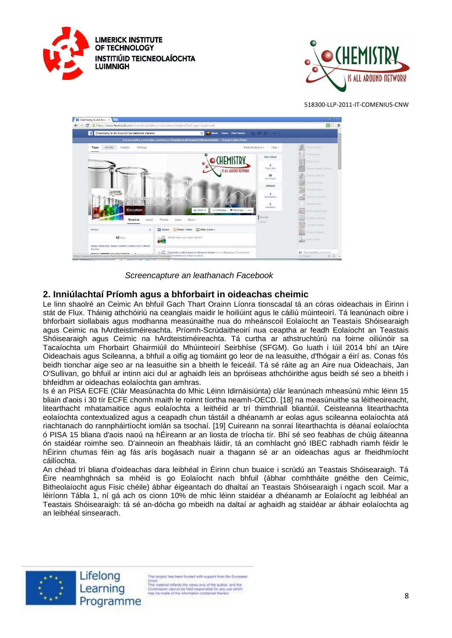





*Screencapture an leathanach Facebook* 

# **2. Inniúlachtaí Príomh agus a bhforbairt in oideachas cheimic**

Le linn shaolré an Ceimic An bhfuil Gach Thart Orainn Líonra tionscadal tá an córas oideachais in Éirinn i stát de Flux. Tháinig athchóiriú na ceanglais maidir le hoiliúint agus le cáiliú múinteoirí. Tá leanúnach oibre i bhforbairt siollabais agus modhanna measúnaithe nua do mheánscoil Eolaíocht an Teastais Shóisearaigh agus Ceimic na hArdteistiméireachta. Príomh-Scrúdaitheoirí nua ceaptha ar feadh Eolaíocht an Teastais Shóisearaigh agus Ceimic na hArdteistiméireachta. Tá curtha ar athstruchtúrú na foirne oiliúnóir sa Tacaíochta um Fhorbairt Ghairmiúil do Mhúinteoirí Seirbhíse (SFGM). Go luath i Iúil 2014 bhí an tAire Oideachais agus Scileanna, a bhfuil a oifig ag tiomáint go leor de na leasuithe, d'fhógair a éirí as. Conas fós beidh tionchar aige seo ar na leasuithe sin a bheith le feiceáil. Tá sé ráite ag an Aire nua Oideachais, Jan O'Sullivan, go bhfuil ar intinn aici dul ar aghaidh leis an bpróiseas athchóirithe agus beidh sé seo a bheith i bhfeidhm ar oideachas eolaíochta gan amhras.

Is é an PISA ECFE (Clár Measúnachta do Mhic Léinn Idirnáisiúnta) clár leanúnach mheasúnú mhic léinn 15 bliain d'aois i 30 tír ECFE chomh maith le roinnt tíortha neamh-OECD. [18] na measúnuithe sa léitheoireacht, litearthacht mhatamaitice agus eolaíochta a leithéid ar trí thimthriall bliantúil. Ceisteanna litearthachta eolaíochta contextualized agus a ceapadh chun tástáil a dhéanamh ar eolas agus scileanna eolaíochta atá riachtanach do rannpháirtíocht iomlán sa tsochaí. [19] Cuireann na sonraí litearthachta is déanaí eolaíochta ó PISA 15 bliana d'aois naoú na hÉireann ar an liosta de tríocha tír. Bhí sé seo feabhas de chúig áiteanna ón staidéar roimhe seo. D'ainneoin an fheabhais láidir, tá an comhlacht gnó IBEC rabhadh riamh féidir le hÉirinn chumas féin ag fás arís bogásach nuair a thagann sé ar an oideachas agus ar fheidhmíocht cáilíochta.

An chéad trí bliana d'oideachas dara leibhéal in Éirinn chun buaice i scrúdú an Teastais Shóisearaigh. Tá Éire neamhghnách sa mhéid is go Eolaíocht nach bhfuil (ábhar comhtháite gnéithe den Ceimic, Bitheolaíocht agus Fisic chéile) ábhar éigeantach do dhaltaí an Teastais Shóisearaigh i ngach scoil. Mar a léiríonn Tábla 1, ní gá ach os cionn 10% de mhic léinn staidéar a dhéanamh ar Eolaíocht ag leibhéal an Teastais Shóisearaigh: tá sé an-dócha go mbeidh na daltaí ar aghaidh ag staidéar ar ábhair eolaíochta ag an leibhéal sinsearach.



Lifelong Learning Programme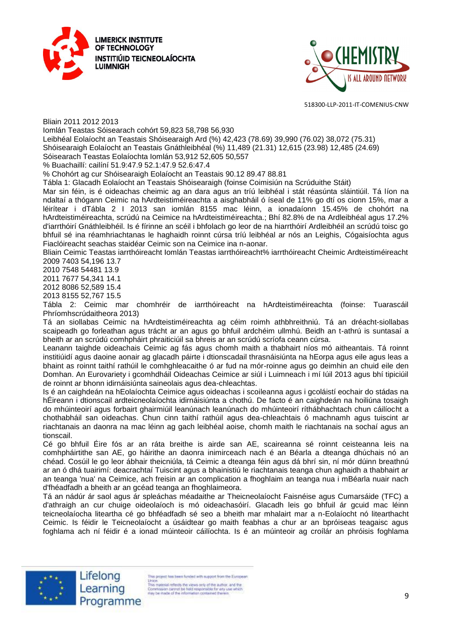



Bliain 2011 2012 2013

Iomlán Teastas Sóisearach cohórt 59,823 58,798 56,930

Leibhéal Eolaíocht an Teastais Shóisearaigh Ard (%) 42,423 (78.69) 39,990 (76.02) 38,072 (75.31)

Shóisearaigh Eolaíocht an Teastais Gnáthleibhéal (%) 11,489 (21.31) 12,615 (23.98) 12,485 (24.69) Sóisearach Teastas Eolaíochta Iomlán 53,912 52,605 50,557

% Buachaillí: cailíní 51.9:47.9 52.1:47.9 52.6:47.4

% Chohórt ag cur Shóisearaigh Eolaíocht an Teastais 90.12 89.47 88.81

Tábla 1: Glacadh Eolaíocht an Teastais Shóisearaigh (foinse Coimisiún na Scrúduithe Stáit)

Mar sin féin, is é oideachas cheimic ag an dara agus an tríú leibhéal i stát réasúnta sláintiúil. Tá líon na ndaltaí a thógann Ceimic na hArdteistiméireachta a aisghabháil ó íseal de 11% go dtí os cionn 15%, mar a léirítear i dTábla 2 I 2013 san iomlán 8155 mac léinn, a ionadaíonn 15.45% de chohórt na hArdteistiméireachta, scrúdú na Ceimice na hArdteistiméireachta.; Bhí 82.8% de na Ardleibhéal agus 17.2% d'iarrthóirí Gnáthleibhéil. Is é fírinne an scéil i bhfolach go leor de na hiarrthóirí Ardleibhéil an scrúdú toisc go bhfuil sé ina réamhriachtanas le haghaidh roinnt cúrsa tríú leibhéal ar nós an Leighis, Cógaisíochta agus Fiaclóireacht seachas staidéar Ceimic son na Ceimice ina n-aonar.

Bliain Ceimic Teastas iarrthóireacht Iomlán Teastas iarrthóireacht% iarrthóireacht Cheimic Ardteistiméireacht 2009 7403 54,196 13.7

2010 7548 54481 13.9

2011 7677 54,341 14.1

2012 8086 52,589 15.4

2013 8155 52,767 15.5

Tábla 2: Ceimic mar chomhréir de iarrthóireacht na hArdteistiméireachta (foinse: Tuarascáil Phríomhscrúdaitheora 2013)

Tá an siollabas Ceimic na hArdteistiméireachta ag céim roimh athbhreithniú. Tá an dréacht-siollabas scaipeadh go forleathan agus trácht ar an agus go bhfuil ardchéim ullmhú. Beidh an t-athrú is suntasaí a bheith ar an scrúdú comhpháirt phraiticiúil sa bhreis ar an scrúdú scríofa ceann cúrsa.

Leanann taighde oideachais Ceimic ag fás agus chomh maith a thabhairt níos mó aitheantais. Tá roinnt institiúidí agus daoine aonair ag glacadh páirte i dtionscadail thrasnáisiúnta na hEorpa agus eile agus leas a bhaint as roinnt taithí rathúil le comhghleacaithe ó ar fud na mór-roinne agus go deimhin an chuid eile den Domhan. An Eurovariety i gcomhdháil Oideachas Ceimice ar siúl i Luimneach i mí Iúil 2013 agus bhí tipiciúil de roinnt ar bhonn idirnáisiúnta saineolais agus dea-chleachtas.

Is é an caighdeán na hEolaíochta Ceimice agus oideachas i scoileanna agus i gcoláistí eochair do stádas na hÉireann i dtionscail ardteicneolaíochta idirnáisiúnta a chothú. De facto é an caighdeán na hoiliúna tosaigh do mhúinteoirí agus forbairt ghairmiúil leanúnach leanúnach do mhúinteoirí ríthábhachtach chun cáilíocht a chothabháil san oideachas. Chun cinn taithí rathúil agus dea-chleachtais ó machnamh agus tuiscint ar riachtanais an daonra na mac léinn ag gach leibhéal aoise, chomh maith le riachtanais na sochaí agus an tionscail.

Cé go bhfuil Éire fós ar an ráta breithe is airde san AE, scaireanna sé roinnt ceisteanna leis na comhpháirtithe san AE, go háirithe an daonra inimirceach nach é an Béarla a dteanga dhúchais nó an chéad. Cosúil le go leor ábhair theicniúla, tá Ceimic a dteanga féin agus dá bhrí sin, ní mór dúinn breathnú ar an ó dhá tuairimí: deacrachtaí Tuiscint agus a bhainistiú le riachtanais teanga chun aghaidh a thabhairt ar an teanga 'nua' na Ceimice, ach freisin ar an complication a fhoghlaim an teanga nua i mBéarla nuair nach d'fhéadfadh a bheith ar an gcéad teanga an fhoghlaimeora.

Tá an nádúr ár saol agus ár spleáchas méadaithe ar Theicneolaíocht Faisnéise agus Cumarsáide (TFC) a d'athraigh an cur chuige oideolaíoch is mó oideachasóirí. Glacadh leis go bhfuil ár gcuid mac léinn teicneolaíocha liteartha cé go bhféadfadh sé seo a bheith mar mhalairt mar a n-Eolaíocht nó litearthacht Ceimic. Is féidir le Teicneolaíocht a úsáidtear go maith feabhas a chur ar an bpróiseas teagaisc agus foghlama ach ní féidir é a ionad múinteoir cáilíochta. Is é an múinteoir ag croílár an phróisis foghlama

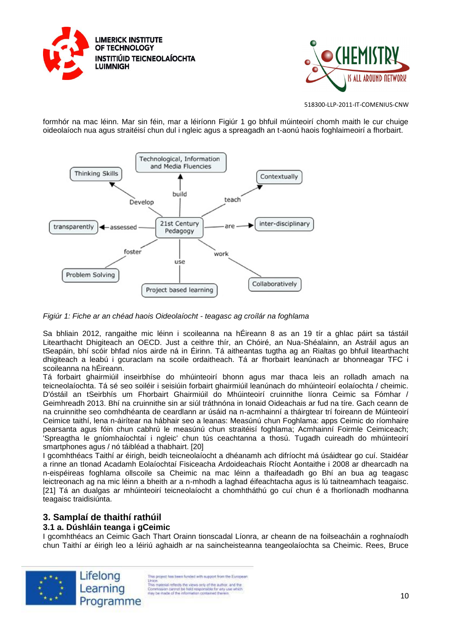



formhór na mac léinn. Mar sin féin, mar a léiríonn Figiúr 1 go bhfuil múinteoirí chomh maith le cur chuige oideolaíoch nua agus straitéisí chun dul i ngleic agus a spreagadh an t-aonú haois foghlaimeoirí a fhorbairt.



*Figiúr 1: Fiche ar an chéad haois Oideolaíocht - teagasc ag croílár na foghlama* 

Sa bhliain 2012, rangaithe mic léinn i scoileanna na hÉireann 8 as an 19 tír a ghlac páirt sa tástáil Litearthacht Dhigiteach an OECD. Just a ceithre thír, an Chóiré, an Nua-Shéalainn, an Astráil agus an tSeapáin, bhí scóir bhfad níos airde ná in Éirinn. Tá aitheantas tugtha ag an Rialtas go bhfuil litearthacht dhigiteach a leabú i gcuraclam na scoile ordaitheach. Tá ar fhorbairt leanúnach ar bhonneagar TFC i scoileanna na hÉireann.

Tá forbairt ghairmiúil inseirbhíse do mhúinteoirí bhonn agus mar thaca leis an rolladh amach na teicneolaíochta. Tá sé seo soiléir i seisiúin forbairt ghairmiúil leanúnach do mhúinteoirí eolaíochta / cheimic. D'óstáil an tSeirbhís um Fhorbairt Ghairmiúil do Mhúinteoirí cruinnithe líonra Ceimic sa Fómhar / Geimhreadh 2013. Bhí na cruinnithe sin ar siúl tráthnóna in Ionaid Oideachais ar fud na tíre. Gach ceann de na cruinnithe seo comhdhéanta de ceardlann ar úsáid na n-acmhainní a tháirgtear trí foireann de Múinteoirí Ceimice taithí, lena n-áirítear na hábhair seo a leanas: Measúnú chun Foghlama: apps Ceimic do ríomhaire pearsanta agus fóin chun cabhrú le measúnú chun straitéisí foghlama; Acmhainní Foirmle Ceimiceach; 'Spreagtha le gníomhaíochtaí i ngleic' chun tús ceachtanna a thosú. Tugadh cuireadh do mhúinteoirí smartphones agus / nó táibléad a thabhairt. [20]

I gcomhthéacs Taithí ar éirigh, beidh teicneolaíocht a dhéanamh ach difríocht má úsáidtear go cuí. Staidéar a rinne an tIonad Acadamh Eolaíochtaí Fisiceacha Ardoideachais Ríocht Aontaithe i 2008 ar dhearcadh na n-eispéireas foghlama ollscoile sa Cheimic na mac léinn a thaifeadadh go Bhí an bua ag teagasc leictreonach ag na mic léinn a bheith ar a n-mhodh a laghad éifeachtacha agus is lú taitneamhach teagaisc. [21] Tá an dualgas ar mhúinteoirí teicneolaíocht a chomhtháthú go cuí chun é a fhorlíonadh modhanna teagaisc traidisiúnta.

# **3. Samplaí de thaithí rathúil**

# **3.1 a. Dúshláin teanga i gCeimic**

I gcomhthéacs an Ceimic Gach Thart Orainn tionscadal Líonra, ar cheann de na foilseacháin a roghnaíodh chun Taithí ar éirigh leo a léiriú aghaidh ar na saincheisteanna teangeolaíochta sa Cheimic. Rees, Bruce



Lifelong Learning Programme

is project has been funded with support from the European Union<br>
This material reflects the views only of the author, and the<br>
This material reflects the views only of the author, and the<br>
free parameters cannot be hidd responsible for any use which<br>
rely be made of the informat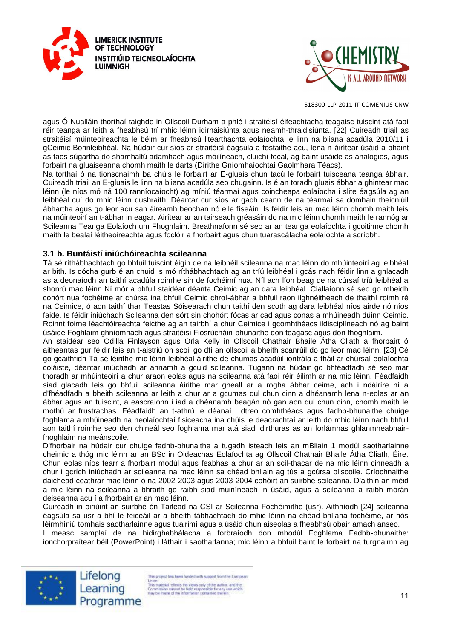



agus Ó Nualláin thorthaí taighde in Ollscoil Durham a phlé i straitéisí éifeachtacha teagaisc tuiscint atá faoi réir teanga ar leith a fheabhsú trí mhic léinn idirnáisiúnta agus neamh-thraidisiúnta. [22] Cuireadh triail as straitéisí múinteoireachta le béim ar fheabhsú litearthachta eolaíochta le linn na bliana acadúla 2010/11 i gCeimic Bonnleibhéal. Na húdair cur síos ar straitéisí éagsúla a fostaithe acu, lena n-áirítear úsáid a bhaint as taos súgartha do shamhaltú adamhach agus móilíneach, cluichí focal, ag baint úsáide as analogies, agus forbairt na gluaiseanna chomh maith le darts (Dírithe Gníomhaíochtaí Gaolmhara Téacs).

Na torthaí ó na tionscnaimh ba chúis le forbairt ar E-gluais chun tacú le forbairt tuisceana teanga ábhair. Cuireadh triail an E-gluais le linn na bliana acadúla seo chugainn. Is é an toradh gluais ábhar a ghintear mac léinn (le níos mó ná 100 ranníocaíocht) ag míniú téarmaí agus coincheapa eolaíocha i slite éagsúla ag an leibhéal cuí do mhic léinn dúshraith. Déantar cur síos ar gach ceann de na téarmaí sa domhain theicniúil ábhartha agus go leor acu san áireamh beochan nó eile físeáin. Is féidir leis an mac léinn chomh maith leis na múinteoirí an t-ábhar in eagar. Áirítear ar an tairseach gréasáin do na mic léinn chomh maith le rannóg ar Scileanna Teanga Eolaíoch um Fhoghlaim. Breathnaíonn sé seo ar an teanga eolaíochta i gcoitinne chomh maith le bealaí léitheoireachta agus foclóir a fhorbairt agus chun tuarascálacha eolaíochta a scríobh.

#### **3.1 b. Buntáistí iniúchóireachta scileanna**

Tá sé ríthábhachtach go bhfuil tuiscint éigin de na leibhéil scileanna na mac léinn do mhúinteoirí ag leibhéal ar bith. Is dócha gurb é an chuid is mó ríthábhachtach ag an tríú leibhéal i gcás nach féidir linn a ghlacadh as a deonaíodh an taithí acadúla roimhe sin de fochéimí nua. Níl ach líon beag de na cúrsaí tríú leibhéal a shonrú mac léinn Ní mór a bhfuil staidéar déanta Ceimic ag an dara leibhéal. Ciallaíonn sé seo go mbeidh cohórt nua fochéime ar chúrsa ina bhfuil Ceimic chroí-ábhar a bhfuil raon ilghnéitheach de thaithí roimh ré na Ceimice, ó aon taithí thar Teastas Sóisearach chun taithí den scoth ag dara leibhéal níos airde nó níos faide. Is féidir iniúchadh Scileanna den sórt sin chohórt fócas ar cad agus conas a mhúineadh dúinn Ceimic. Roinnt foirne léachtóireachta feicthe ag an tairbhí a chur Ceimice i gcomhthéacs ildisciplíneach nó ag baint úsáide Foghlaim ghníomhach agus straitéisí Fiosrúcháin-bhunaithe don teagasc agus don fhoghlaim.

An staidéar seo Odilla Finlayson agus Orla Kelly in Ollscoil Chathair Bhaile Átha Cliath a fhorbairt ó aitheantas gur féidir leis an t-aistriú ón scoil go dtí an ollscoil a bheith scanrúil do go leor mac léinn. [23] Cé go gcaithfidh Tá sé léirithe mic léinn leibhéal áirithe de chumas acadúil iontrála a fháil ar chúrsaí eolaíochta coláiste, déantar iniúchadh ar annamh a gcuid scileanna. Tugann na húdair go bhféadfadh sé seo mar thoradh ar mhúinteoirí a chur araon eolas agus na scileanna atá faoi réir éilimh ar na mic léinn. Féadfaidh siad glacadh leis go bhfuil scileanna áirithe mar gheall ar a rogha ábhar céime, ach i ndáiríre ní a d'fhéadfadh a bheith scileanna ar leith a chur ar a gcumas dul chun cinn a dhéanamh lena n-eolas ar an ábhar agus an tuiscint, a eascraíonn i iad a dhéanamh beagán nó gan aon dul chun cinn, chomh maith le mothú ar frustrachas. Féadfaidh an t-athrú le déanaí i dtreo comhthéacs agus fadhb-bhunaithe chuige foghlama a mhúineadh na heolaíochtaí fisiceacha ina chúis le deacrachtaí ar leith do mhic léinn nach bhfuil aon taithí roimhe seo den chineál seo foghlama mar atá siad idirthuras as an forlámhas ghlanmheabhairfhoghlaim na meánscoile.

D'fhorbair na húdair cur chuige fadhb-bhunaithe a tugadh isteach leis an mBliain 1 modúl saotharlainne cheimic a thóg mic léinn ar an BSc in Oideachas Eolaíochta ag Ollscoil Chathair Bhaile Átha Cliath, Éire. Chun eolas níos fearr a fhorbairt modúl agus feabhas a chur ar an scil-thacar de na mic léinn cinneadh a chur i gcrích iniúchadh ar scileanna na mac léinn sa chéad bhliain ag tús a gcúrsa ollscoile. Críochnaithe daichead ceathrar mac léinn ó na 2002-2003 agus 2003-2004 cohóirt an suirbhé scileanna. D'aithin an méid a mic léinn na scileanna a bhraith go raibh siad muiníneach in úsáid, agus a scileanna a raibh mórán deiseanna acu í a fhorbairt ar an mac léinn.

Cuireadh in oiriúint an suirbhé ón Taifead na CSI ar Scileanna Fochéimithe (usr). Aithníodh [24] scileanna éagsúla sa usr a bhí le feiceáil ar a bheith tábhachtach do mhic léinn na chéad bhliana fochéime, ar nós léirmhíniú tomhais saotharlainne agus tuairimí agus a úsáid chun aiseolas a fheabhsú obair amach anseo.

I measc samplaí de na hidirghabhálacha a forbraíodh don mhodúl Foghlama Fadhb-bhunaithe: ionchorpraítear béil (PowerPoint) i láthair i saotharlanna; mic léinn a bhfuil baint le forbairt na turgnaimh ag



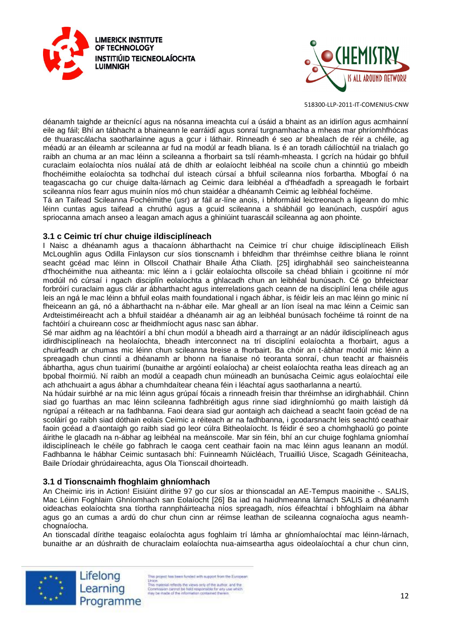



déanamh taighde ar theicnící agus na nósanna imeachta cuí a úsáid a bhaint as an idirlíon agus acmhainní eile ag fáil; Bhí an tábhacht a bhaineann le earráidí agus sonraí turgnamhacha a mheas mar phríomhfhócas de thuarascálacha saotharlainne agus a gcur i láthair. Rinneadh é seo ar bhealach de réir a chéile, ag méadú ar an éileamh ar scileanna ar fud na modúl ar feadh bliana. Is é an toradh cáilíochtúil na trialach go raibh an chuma ar an mac léinn a scileanna a fhorbairt sa tslí réamh-mheasta. I gcrích na húdair go bhfuil curaclaim eolaíochta níos nuálaí atá de dhíth ar eolaíocht leibhéal na scoile chun a chinntiú go mbeidh fhochéimithe eolaíochta sa todhchaí dul isteach cúrsaí a bhfuil scileanna níos forbartha. Mbogfaí ó na teagascacha go cur chuige dalta-lárnach ag Ceimic dara leibhéal a d'fhéadfadh a spreagadh le forbairt scileanna níos fearr agus muinín níos mó chun staidéar a dhéanamh Ceimic ag leibhéal fochéime.

Tá an Taifead Scileanna Fochéimithe (usr) ar fáil ar-líne anois, i bhformáid leictreonach a ligeann do mhic léinn cuntas agus taifead a chruthú agus a gcuid scileanna a shábháil go leanúnach, cuspóirí agus spriocanna amach anseo a leagan amach agus a ghiniúint tuarascáil scileanna ag aon phointe.

#### **3.1 c Ceimic trí chur chuige ildisciplíneach**

I Naisc a dhéanamh agus a thacaíonn ábharthacht na Ceimice trí chur chuige ildisciplíneach Eilish McLoughlin agus Odilla Finlayson cur síos tionscnamh i bhfeidhm thar thréimhse ceithre bliana le roinnt seacht gcéad mac léinn in Ollscoil Chathair Bhaile Átha Cliath. [25] idirghabháil seo saincheisteanna d'fhochéimithe nua aitheanta: mic léinn a i gcláir eolaíochta ollscoile sa chéad bhliain i gcoitinne ní mór modúil nó cúrsaí i ngach disciplín eolaíochta a ghlacadh chun an leibhéal bunúsach. Cé go bhfeictear forbróirí curaclaim agus clár ar ábharthacht agus interrelations gach ceann de na disciplíní lena chéile agus leis an ngá le mac léinn a bhfuil eolas maith foundational i ngach ábhar, is féidir leis an mac léinn go minic ní fheiceann an gá, nó a ábharthacht na n-ábhar eile. Mar gheall ar an líon íseal na mac léinn a Ceimic san Ardteistiméireacht ach a bhfuil staidéar a dhéanamh air ag an leibhéal bunúsach fochéime tá roinnt de na fachtóirí a chuireann cosc ar fheidhmíocht agus nasc san ábhar.

Sé mar aidhm ag na léachtóirí a bhí chun modúl a bheadh aird a tharraingt ar an nádúr ildisciplíneach agus idirdhisciplíneach na heolaíochta, bheadh interconnect na trí disciplíní eolaíochta a fhorbairt, agus a chuirfeadh ar chumas mic léinn chun scileanna breise a fhorbairt. Ba chóir an t-ábhar modúl mic léinn a spreagadh chun cinntí a dhéanamh ar bhonn na fianaise nó teoranta sonraí, chun teacht ar fhaisnéis ábhartha, agus chun tuairimí (bunaithe ar argóintí eolaíocha) ar cheist eolaíochta reatha leas díreach ag an bpobal fhoirmiú. Ní raibh an modúl a ceapadh chun múineadh an bunúsacha Ceimic agus eolaíochtaí eile ach athchuairt a agus ábhar a chumhdaítear cheana féin i léachtaí agus saotharlanna a neartú.

Na húdair suirbhé ar na mic léinn agus grúpaí fócais a rinneadh freisin thar thréimhse an idirghabháil. Chinn siad go fuarthas an mac léinn scileanna fadhbréitigh agus rinne siad idirghníomhú go maith laistigh dá ngrúpaí a réiteach ar na fadhbanna. Faoi deara siad gur aontaigh ach daichead a seacht faoin gcéad de na scoláirí go raibh siad dóthain eolais Ceimic a réiteach ar na fadhbanna, i gcodarsnacht leis seachtó ceathair faoin gcéad a d'aontaigh go raibh siad go leor cúlra Bitheolaíocht. Is féidir é seo a chomhghaolú go pointe áirithe le glacadh na n-ábhar ag leibhéal na meánscoile. Mar sin féin, bhí an cur chuige foghlama gníomhaí ildisciplíneach le chéile go fabhrach le caoga cent ceathair faoin na mac léinn agus leanann an modúl. Fadhbanna le hábhar Ceimic suntasach bhí: Fuinneamh Núicléach, Truailliú Uisce, Scagadh Géiniteacha, Baile Dríodair ghrúdaireachta, agus Ola Tionscail dhoirteadh.

#### **3.1 d Tionscnaimh fhoghlaim ghníomhach**

An Cheimic iris in Action! Eisiúint dírithe 97 go cur síos ar thionscadal an AE-Tempus maoinithe -. SALIS, Mac Léinn Foghlaim Ghníomhach san Eolaíocht [26] Ba iad na haidhmeanna lárnach SALIS a dhéanamh oideachas eolaíochta sna tíortha rannpháirteacha níos spreagadh, níos éifeachtaí i bhfoghlaim na ábhar agus go an cumas a ardú do chur chun cinn ar réimse leathan de scileanna cognaíocha agus neamhchognaíocha.

An tionscadal dírithe teagaisc eolaíochta agus foghlaim trí lámha ar ghníomhaíochtaí mac léinn-lárnach, bunaithe ar an dúshraith de churaclaim eolaíochta nua-aimseartha agus oideolaíochtaí a chur chun cinn,





is project has been funded with support from the European Union<br>This material reflects the views only of the author, and the<br>This material reflects the views only of the author and the<br>fleet be made of the information contained therein<br>rely be made of the information contained th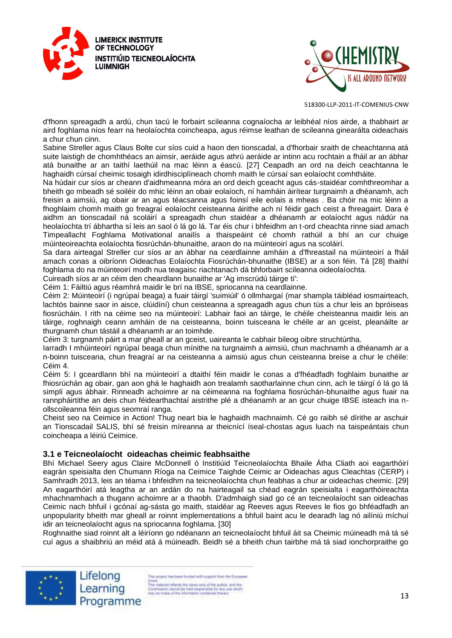



d'fhonn spreagadh a ardú, chun tacú le forbairt scileanna cognaíocha ar leibhéal níos airde, a thabhairt ar aird foghlama níos fearr na heolaíochta coincheapa, agus réimse leathan de scileanna ginearálta oideachais a chur chun cinn.

Sabine Streller agus Claus Bolte cur síos cuid a haon den tionscadal, a d'fhorbair sraith de cheachtanna atá suite laistigh de chomhthéacs an aimsir, aeráide agus athrú aeráide ar intinn acu rochtain a fháil ar an ábhar atá bunaithe ar an taithí laethúil na mac léinn a éascú. [27] Ceapadh an ord na deich ceachtanna le haghaidh cúrsaí cheimic tosaigh idirdhisciplíneach chomh maith le cúrsaí san eolaíocht comhtháite.

Na húdair cur síos ar cheann d'aidhmeanna móra an ord deich gceacht agus cás-staidéar comhthreomhar a bheith go mbeadh sé soiléir do mhic léinn an obair eolaíoch, ní hamháin áirítear turgnaimh a dhéanamh, ach freisin a aimsiú, ag obair ar an agus téacsanna agus foinsí eile eolais a mheas . Ba chóir na mic léinn a fhoghlaim chomh maith go freagraí eolaíocht ceisteanna áirithe ach ní féidir gach ceist a fhreagairt. Dara é aidhm an tionscadail ná scoláirí a spreagadh chun staidéar a dhéanamh ar eolaíocht agus nádúr na heolaíochta trí ábhartha sí leis an saol ó lá go lá. Tar éis chur i bhfeidhm an t-ord cheachta rinne siad amach Timpeallacht Foghlama Motivational anailís a thaispeáint cé chomh rathúil a bhí an cur chuige múinteoireachta eolaíochta fiosrúchán-bhunaithe, araon do na múinteoirí agus na scoláirí.

Sa dara airteagal Streller cur síos ar an ábhar na ceardlainne amháin a d'fhreastail na múinteoirí a fháil amach conas a oibríonn Oideachas Eolaíochta Fiosrúchán-bhunaithe (IBSE) ar a son féin. Tá [28] thaithí foghlama do na múinteoirí modh nua teagaisc riachtanach dá bhforbairt scileanna oideolaíochta.

Cuireadh síos ar an céim den cheardlann bunaithe ar 'Ag imscrúdú táirge tí':

Céim 1: Fáiltiú agus réamhrá maidir le brí na IBSE, spriocanna na ceardlainne.

Céim 2: Múinteoirí (i ngrúpaí beaga) a fuair táirgí 'suimiúil' ó ollmhargaí (mar shampla táibléad iosmairteach, lachtós bainne saor in aisce, clúidíní) chun ceisteanna a spreagadh agus chun tús a chur leis an bpróiseas fiosrúcháin. I rith na céime seo na múinteoirí: Labhair faoi an táirge, le chéile cheisteanna maidir leis an táirge, roghnaigh ceann amháin de na ceisteanna, boinn tuisceana le chéile ar an gceist, pleanáilte ar thurgnamh chun tástáil a dhéanamh ar an toimhde.

Céim 3: turgnamh páirt a mar gheall ar an gceist, uaireanta le cabhair bileog oibre struchtúrtha.

Iarradh I mhúinteoirí ngrúpaí beaga chun mínithe na turgnaimh a aimsiú, chun machnamh a dhéanamh ar a n-boinn tuisceana, chun freagraí ar na ceisteanna a aimsiú agus chun ceisteanna breise a chur le chéile: Céim 4.

Céim 5: I gceardlann bhí na múinteoirí a dtaithí féin maidir le conas a d'fhéadfadh foghlaim bunaithe ar fhiosrúchán ag obair, gan aon ghá le haghaidh aon trealamh saotharlainne chun cinn, ach le táirgí ó lá go lá simplí agus ábhair. Rinneadh achoimre ar na céimeanna na foghlama fiosrúchán-bhunaithe agus fuair na rannpháirtithe an deis chun féidearthachtaí aistrithe plé a dhéanamh ar an gcur chuige IBSE isteach ina nollscoileanna féin agus seomraí ranga.

Cheist seo na Ceimice in Action! Thug neart bia le haghaidh machnaimh. Cé go raibh sé dírithe ar aschuir an Tionscadail SALIS, bhí sé freisin míreanna ar theicnící íseal-chostas agus luach na taispeántais chun coincheapa a léiriú Ceimice.

# **3.1 e Teicneolaíocht oideachas cheimic feabhsaithe**

Bhí Michael Seery agus Claire McDonnell ó Institiúid Teicneolaíochta Bhaile Átha Cliath aoi eagarthóirí eagrán speisialta den Chumann Ríoga na Ceimice Taighde Ceimic ar Oideachas agus Cleachtas (CERP) i Samhradh 2013, leis an téama i bhfeidhm na teicneolaíochta chun feabhas a chur ar oideachas cheimic. [29] An eagarthóirí atá leagtha ar an ardán do na hairteagail sa chéad eagrán speisialta i eagarthóireachta mhachnamhach a thugann achoimre ar a thaobh. D'admhaigh siad go cé an teicneolaíocht san oideachas Ceimic nach bhfuil i gcónaí ag-sásta go maith, staidéar ag Reeves agus Reeves le fios go bhféadfadh an unpopularity bheith mar gheall ar roinnt implementations a bhfuil baint acu le dearadh lag nó ailíniú míchuí idir an teicneolaíocht agus na spriocanna foghlama. [30]

Roghnaithe siad roinnt alt a léiríonn go ndéanann an teicneolaíocht bhfuil áit sa Cheimic múineadh má tá sé cuí agus a shaibhriú an méid atá á múineadh. Beidh sé a bheith chun tairbhe má tá siad ionchorpraithe go



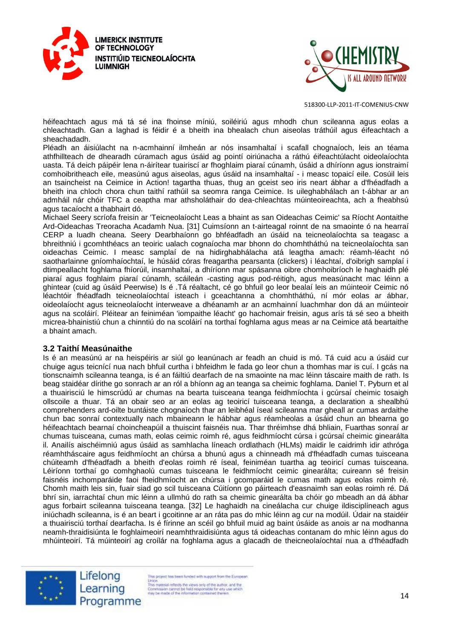



héifeachtach agus má tá sé ina fhoinse míniú, soiléiriú agus mhodh chun scileanna agus eolas a chleachtadh. Gan a laghad is féidir é a bheith ina bhealach chun aiseolas tráthúil agus éifeachtach a sheachadadh.

Pléadh an áisiúlacht na n-acmhainní ilmheán ar nós insamhaltaí i scafall chognaíoch, leis an téama athfhillteach de dhearadh cúramach agus úsáid ag pointí oiriúnacha a ráthú éifeachtúlacht oideolaíochta uasta. Tá deich páipéir lena n-áirítear tuairiscí ar fhoghlaim piaraí cúnamh, úsáid a dhíríonn agus ionstraimí comhoibritheach eile, measúnú agus aiseolas, agus úsáid na insamhaltaí - i measc topaicí eile. Cosúil leis an tsaincheist na Ceimice in Action! tagartha thuas, thug an gceist seo iris neart ábhar a d'fhéadfadh a bheith ina chloch chora chun taithí rathúil sa seomra ranga Ceimice. Is uileghabhálach an t-ábhar ar an admháil nár chóir TFC a ceaptha mar athsholáthair do dea-chleachtas múinteoireachta, ach a fheabhsú agus tacaíocht a thabhairt dó.

Michael Seery scríofa freisin ar 'Teicneolaíocht Leas a bhaint as san Oideachas Ceimic' sa Ríocht Aontaithe Ard-Oideachas Treoracha Acadamh Nua. [31] Cuimsíonn an t-airteagal roinnt de na smaointe ó na hearraí CERP a luadh cheana. Seery Dearbhaíonn go bhféadfadh an úsáid na teicneolaíochta sa teagasc a bhreithniú i gcomhthéacs an teoiric ualach cognaíocha mar bhonn do chomhtháthú na teicneolaíochta san oideachas Ceimic. I measc samplaí de na hidirghabhálacha atá leagtha amach: réamh-léacht nó saotharlainne gníomhaíochtaí, le húsáid córas freagartha pearsanta (clickers) i léachtaí, d'oibrigh samplaí i dtimpeallacht foghlama fhíorúil, insamhaltaí, a dhíríonn mar spásanna oibre chomhoibríoch le haghaidh plé piaraí agus foghlaim piaraí cúnamh, scáileán -casting agus pod-réitigh, agus measúnacht mac léinn a ghintear (cuid ag úsáid Peerwise) Is é .Tá réaltacht, cé go bhfuil go leor bealaí leis an múinteoir Ceimic nó léachtóir fhéadfadh teicneolaíochtaí isteach i gceachtanna a chomhtháthú, ní mór eolas ar ábhar, oideolaíocht agus teicneolaíocht interweave a dhéanamh ar an acmhainní luachmhar don dá an múinteoir agus na scoláirí. Pléitear an feiniméan 'iompaithe léacht' go hachomair freisin, agus arís tá sé seo a bheith micrea-bhainistiú chun a chinntiú do na scoláirí na torthaí foghlama agus meas ar na Ceimice atá beartaithe a bhaint amach.

#### **3.2 Taithí Measúnaithe**

Is é an measúnú ar na heispéiris ar siúl go leanúnach ar feadh an chuid is mó. Tá cuid acu a úsáid cur chuige agus teicnící nua nach bhfuil curtha i bhfeidhm le fada go leor chun a thomhas mar is cuí. I gcás na tionscnaimh scileanna teanga, is é an fáiltiú dearfach de na smaointe na mac léinn táscaire maith de rath. Is beag staidéar dírithe go sonrach ar an ról a bhíonn ag an teanga sa cheimic foghlama. Daniel T. Pyburn et al a thuairisciú le himscrúdú ar chumas na bearta tuisceana teanga feidhmíochta i gcúrsaí cheimic tosaigh ollscoile a thuar. Tá an obair seo ar an eolas ag teoiricí tuisceana teanga, a declaration a shealbhú comprehenders ard-oilte buntáiste chognaíoch thar an leibhéal íseal scileanna mar gheall ar cumas ardaithe chun bac sonraí contextually nach mbaineann le hábhar agus réamheolas a úsáid chun an bhearna go héifeachtach bearnaí choincheapúil a thuiscint faisnéis nua. Thar thréimhse dhá bhliain, Fuarthas sonraí ar chumas tuisceana, cumas math, eolas ceimic roimh ré, agus feidhmíocht cúrsa i gcúrsaí cheimic ginearálta il. Anailís aischéimniú agus úsáid as samhlacha líneach ordlathach (HLMs) maidir le caidrimh idir athróga réamhtháscaire agus feidhmíocht an chúrsa a bhunú agus a chinneadh má d'fhéadfadh cumas tuisceana chúiteamh d'fhéadfadh a bheith d'eolas roimh ré íseal, feiniméan tuartha ag teoiricí cumas tuisceana. Léiríonn torthaí go comhghaolú cumas tuisceana le feidhmíocht ceimic ginearálta; cuireann sé freisin faisnéis inchomparáide faoi fheidhmíocht an chúrsa i gcomparáid le cumas math agus eolas roimh ré. Chomh maith leis sin, fuair siad go scil tuisceana Cúitíonn go páirteach d'easnaimh san eolas roimh ré. Dá bhrí sin, iarrachtaí chun mic léinn a ullmhú do rath sa cheimic ginearálta ba chóir go mbeadh an dá ábhar agus forbairt scileanna tuisceana teanga. [32] Le haghaidh na cineálacha cur chuige ildisciplíneach agus iniúchadh scileanna, is é an beart i gcoitinne ar an ráta pas do mhic léinn ag cur na modúil. Údair na staidéir a thuairisciú torthaí dearfacha. Is é fírinne an scéil go bhfuil muid ag baint úsáide as anois ar na modhanna neamh-thraidisiúnta le foghlaimeoirí neamhthraidisiúnta agus tá oideachas contanam do mhic léinn agus do mhúinteoirí. Tá múinteoirí ag croílár na foghlama agus a glacadh de theicneolaíochtaí nua a d'fhéadfadh



Lifelong Learning Programme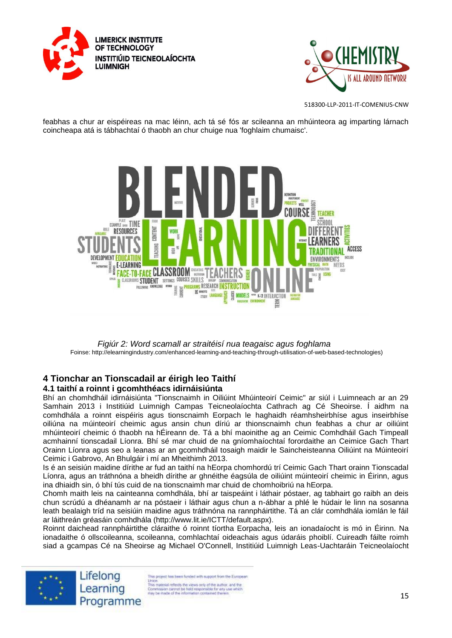



feabhas a chur ar eispéireas na mac léinn, ach tá sé fós ar scileanna an mhúinteora ag imparting lárnach coincheapa atá is tábhachtaí ó thaobh an chur chuige nua 'foghlaim chumaisc'.



*Figiúr 2: Word scamall ar straitéisí nua teagaisc agus foghlama* Foinse: http://elearningindustry.com/enhanced-learning-and-teaching-through-utilisation-of-web-based-technologies)

#### **4 Tionchar an Tionscadail ar éirigh leo Taithí 4.1 taithí a roinnt i gcomhthéacs idirnáisiúnta**

Bhí an chomhdháil idirnáisiúnta "Tionscnaimh in Oiliúint Mhúinteoirí Ceimic" ar siúl i Luimneach ar an 29 Samhain 2013 i Institiúid Luimnigh Campas Teicneolaíochta Cathrach ag Cé Sheoirse. Í aidhm na comhdhála a roinnt eispéiris agus tionscnaimh Eorpach le haghaidh réamhsheirbhíse agus inseirbhíse oiliúna na múinteoirí cheimic agus ansin chun díriú ar thionscnaimh chun feabhas a chur ar oiliúint mhúinteoirí cheimic ó thaobh na hÉireann de. Tá a bhí maoinithe ag an Ceimic Comhdháil Gach Timpeall acmhainní tionscadail Líonra. Bhí sé mar chuid de na gníomhaíochtaí forordaithe an Ceimice Gach Thart Orainn Líonra agus seo a leanas ar an gcomhdháil tosaigh maidir le Saincheisteanna Oiliúint na Múinteoirí Ceimic i Gabrovo, An Bhulgáir i mí an Mheithimh 2013.

Is é an seisiún maidine dírithe ar fud an taithí na hEorpa chomhordú trí Ceimic Gach Thart orainn Tionscadal Líonra, agus an tráthnóna a bheidh dírithe ar ghnéithe éagsúla de oiliúint múinteoirí cheimic in Éirinn, agus ina dhiaidh sin, ó bhí tús cuid de na tionscnaimh mar chuid de chomhoibriú na hEorpa.

Chomh maith leis na cainteanna comhdhála, bhí ar taispeáint i láthair póstaer, ag tabhairt go raibh an deis chun scrúdú a dhéanamh ar na póstaeir i láthair agus chun a n-ábhar a phlé le húdair le linn na sosanna leath bealaigh tríd na seisiúin maidine agus tráthnóna na rannpháirtithe. Tá an clár comhdhála iomlán le fáil ar láithreán gréasáin comhdhála (http://www.lit.ie/ICTT/default.aspx).

Roinnt daichead rannpháirtithe cláraithe ó roinnt tíortha Eorpacha, leis an ionadaíocht is mó in Éirinn. Na ionadaithe ó ollscoileanna, scoileanna, comhlachtaí oideachais agus údaráis phoiblí. Cuireadh fáilte roimh siad a gcampas Cé na Sheoirse ag Michael O'Connell, Institiúid Luimnigh Leas-Uachtaráin Teicneolaíocht





s project has been funded with support from the European Union.<br>This material reflects the views only of the author, and the<br>Commission cannot be hisld responsible for any use which<br>may be made of the information contained therein<br>may be made of the information contained therein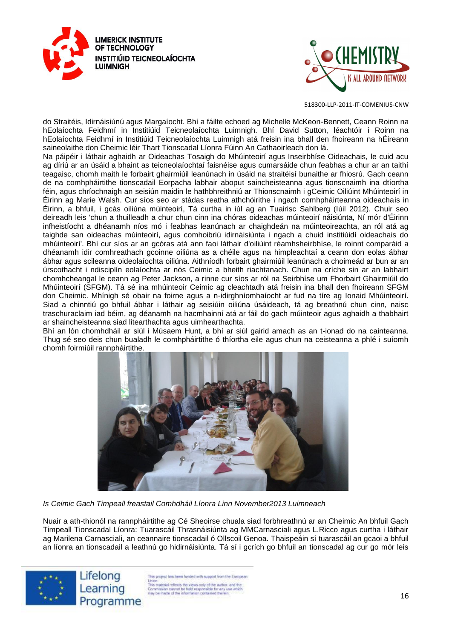



do Straitéis, Idirnáisiúnú agus Margaíocht. Bhí a fáilte echoed ag Michelle McKeon-Bennett, Ceann Roinn na hEolaíochta Feidhmí in Institiúid Teicneolaíochta Luimnigh. Bhí David Sutton, léachtóir i Roinn na hEolaíochta Feidhmí in Institiúid Teicneolaíochta Luimnigh atá freisin ina bhall den fhoireann na hÉireann saineolaithe don Cheimic léir Thart Tionscadal Líonra Fúinn An Cathaoirleach don lá.

Na páipéir i láthair aghaidh ar Oideachas Tosaigh do Mhúinteoirí agus Inseirbhíse Oideachais, le cuid acu ag díriú ar an úsáid a bhaint as teicneolaíochtaí faisnéise agus cumarsáide chun feabhas a chur ar an taithí teagaisc, chomh maith le forbairt ghairmiúil leanúnach in úsáid na straitéisí bunaithe ar fhiosrú. Gach ceann de na comhpháirtithe tionscadail Eorpacha labhair aboput saincheisteanna agus tionscnaimh ina dtíortha féin, agus chríochnaigh an seisiún maidin le hathbhreithniú ar Thionscnaimh i gCeimic Oiliúint Mhúinteoirí in Éirinn ag Marie Walsh. Cur síos seo ar stádas reatha athchóirithe i ngach comhpháirteanna oideachais in Éirinn, a bhfuil, i gcás oiliúna múinteoirí, Tá curtha in iúl ag an Tuairisc Sahlberg (Iúil 2012). Chuir seo deireadh leis 'chun a thuilleadh a chur chun cinn ina chóras oideachas múinteoirí náisiúnta, Ní mór d'Éirinn infheistíocht a dhéanamh níos mó i feabhas leanúnach ar chaighdeán na múinteoireachta, an ról atá ag taighde san oideachas múinteoirí, agus comhoibriú idirnáisiúnta i ngach a chuid institiúidí oideachais do mhúinteoirí'. Bhí cur síos ar an gcóras atá ann faoi láthair d'oiliúint réamhsheirbhíse, le roinnt comparáid a dhéanamh idir comhreathach gcoinne oiliúna as a chéile agus na himpleachtaí a ceann don eolas ábhar ábhar agus scileanna oideolaíochta oiliúna. Aithníodh forbairt ghairmiúil leanúnach a choimeád ar bun ar an úrscothacht i ndisciplín eolaíochta ar nós Ceimic a bheith riachtanach. Chun na críche sin ar an labhairt chomhcheangal le ceann ag Peter Jackson, a rinne cur síos ar ról na Seirbhíse um Fhorbairt Ghairmiúil do Mhúinteoirí (SFGM). Tá sé ina mhúinteoir Ceimic ag cleachtadh atá freisin ina bhall den fhoireann SFGM don Cheimic. Mhínigh sé obair na foirne agus a n-idirghníomhaíocht ar fud na tíre ag Ionaid Mhúinteoirí. Siad a chinntiú go bhfuil ábhar i láthair ag seisiúin oiliúna úsáideach, tá ag breathnú chun cinn, naisc traschuraclaim iad béim, ag déanamh na hacmhainní atá ar fáil do gach múinteoir agus aghaidh a thabhairt ar shaincheisteanna siad litearthachta agus uimhearthachta.

Bhí an lón chomhdháil ar siúl i Músaem Hunt, a bhí ar siúl gairid amach as an t-ionad do na cainteanna. Thug sé seo deis chun bualadh le comhpháirtithe ó thíortha eile agus chun na ceisteanna a phlé i suíomh chomh foirmiúil rannpháirtithe.



*Is Ceimic Gach Timpeall freastail Comhdháil Líonra Linn November2013 Luimneach* 

Nuair a ath-thionól na rannpháirtithe ag Cé Sheoirse chuala siad forbhreathnú ar an Cheimic An bhfuil Gach Timpeall Tionscadal Líonra: Tuarascáil Thrasnáisiúnta ag MMCarnasciali agus L.Ricco agus curtha i láthair ag Marilena Carnasciali, an ceannaire tionscadail ó Ollscoil Genoa. Thaispeáin sí tuarascáil an gcaoi a bhfuil an líonra an tionscadail a leathnú go hidirnáisiúnta. Tá sí i gcrích go bhfuil an tionscadal ag cur go mór leis





s project has been funded with support from the European Union<br>
This material reflects the views only of the author, and the<br>
This material reflects the views only of the author, and the<br>
free parameters cannot be hidd responsible for any use which<br>
rely be made of the informat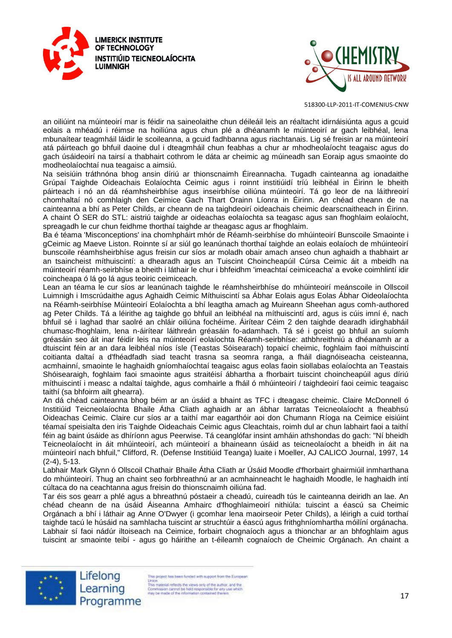



an oiliúint na múinteoirí mar is féidir na saineolaithe chun déileáil leis an réaltacht idirnáisiúnta agus a gcuid eolais a mhéadú i réimse na hoiliúna agus chun plé a dhéanamh le múinteoirí ar gach leibhéal, lena mbunaítear teagmháil láidir le scoileanna, a gcuid fadhbanna agus riachtanais. Lig sé freisin ar na múinteoirí atá páirteach go bhfuil daoine dul i dteagmháil chun feabhas a chur ar mhodheolaíocht teagaisc agus do gach úsáideoirí na tairsí a thabhairt cothrom le dáta ar cheimic ag múineadh san Eoraip agus smaointe do modheolaíochtaí nua teagaisc a aimsiú.

Na seisiúin tráthnóna bhog ansin díriú ar thionscnaimh Éireannacha. Tugadh cainteanna ag ionadaithe Grúpaí Taighde Oideachais Eolaíochta Ceimic agus i roinnt institiúidí tríú leibhéal in Éirinn le bheith páirteach i nó an dá réamhsheirbhíse agus inseirbhíse oiliúna múinteoirí. Tá go leor de na láithreoirí chomhaltaí nó comhlaigh den Ceimice Gach Thart Orainn Líonra in Éirinn. An chéad cheann de na cainteanna a bhí as Peter Childs, ar cheann de na taighdeoirí oideachais cheimic dearscnaitheach in Éirinn. A chaint Ó SER do STL: aistriú taighde ar oideachas eolaíochta sa teagasc agus san fhoghlaim eolaíocht, spreagadh le cur chun feidhme thorthaí taighde ar theagasc agus ar fhoghlaim.

Ba é téama 'Misconceptions' ina chomhpháirt mhór de Réamh-seirbhíse do mhúinteoirí Bunscoile Smaointe i gCeimic ag Maeve Liston. Roinnte sí ar siúl go leanúnach thorthaí taighde an eolais eolaíoch de mhúinteoirí bunscoile réamhsheirbhíse agus freisin cur síos ar moladh obair amach anseo chun aghaidh a thabhairt ar an tsaincheist míthuiscintí: a dhearadh agus an Tuiscint Choincheapúil Cúrsa Ceimic áit a mbeidh na múinteoirí réamh-seirbhíse a bheith i láthair le chur i bhfeidhm 'imeachtaí ceimiceacha' a evoke coimhlintí idir coincheapa ó lá go lá agus teoiric ceimiceach.

Lean an téama le cur síos ar leanúnach taighde le réamhsheirbhíse do mhúinteoirí meánscoile in Ollscoil Luimnigh i Imscrúdaithe agus Aghaidh Ceimic Míthuiscintí sa Ábhar Eolais agus Eolas Ábhar Oideolaíochta na Réamh-seirbhíse Múinteoirí Eolaíochta a bhí leagtha amach ag Muireann Sheehan agus comh-authored ag Peter Childs. Tá a léirithe ag taighde go bhfuil an leibhéal na míthuiscintí ard, agus is cúis imní é, nach bhfuil sé i laghad thar saolré an chláir oiliúna fochéime. Áirítear Céim 2 den taighde dearadh idirghabháil chumasc-fhoghlaim, lena n-áirítear láithreán gréasáin fo-adamhach. Tá sé i gceist go bhfuil an suíomh gréasáin seo áit inar féidir leis na múinteoirí eolaíochta Réamh-seirbhíse: athbhreithniú a dhéanamh ar a dtuiscint féin ar an dara leibhéal níos ísle (Teastas Sóisearach) topaicí cheimic, foghlaim faoi míthuiscintí coitianta daltaí a d'fhéadfadh siad teacht trasna sa seomra ranga, a fháil diagnóiseacha ceisteanna, acmhainní, smaointe le haghaidh gníomhaíochtaí teagaisc agus eolas faoin siollabas eolaíochta an Teastais Shóisearaigh, foghlaim faoi smaointe agus straitéisí ábhartha a fhorbairt tuiscint choincheapúil agus díriú míthuiscintí i measc a ndaltaí taighde, agus comhairle a fháil ó mhúinteoirí / taighdeoirí faoi ceimic teagaisc taithí (sa bhfoirm ailt ghearra).

An dá chéad cainteanna bhog béim ar an úsáid a bhaint as TFC i dteagasc cheimic. Claire McDonnell ó Institiúid Teicneolaíochta Bhaile Átha Cliath aghaidh ar an ábhar Iarratas Teicneolaíocht a fheabhsú Oideachas Ceimic. Claire cur síos ar a taithí mar eagarthóir aoi don Chumann Ríoga na Ceimice eisiúint téamaí speisialta den iris Taighde Oideachais Ceimic agus Cleachtais, roimh dul ar chun labhairt faoi a taithí féin ag baint úsáide as dhíríonn agus Peerwise. Tá ceanglófar insint amháin athshondas do gach: "Ní bheidh Teicneolaíocht in áit mhúinteoirí, ach múinteoirí a bhaineann úsáid as teicneolaíocht a bheidh in áit na múinteoirí nach bhfuil," Clifford, R. (Defense Institiúid Teanga) luaite i Moeller, AJ CALICO Journal, 1997, 14 (2-4), 5-13.

Labhair Mark Glynn ó Ollscoil Chathair Bhaile Átha Cliath ar Úsáid Moodle d'fhorbairt ghairmiúil inmharthana do mhúinteoirí. Thug an chaint seo forbhreathnú ar an acmhainneacht le haghaidh Moodle, le haghaidh intí cúltaca do na ceachtanna agus freisin do thionscnaimh oiliúna fad.

Tar éis sos gearr a phlé agus a bhreathnú póstaeir a cheadú, cuireadh tús le cainteanna deiridh an lae. An chéad cheann de na úsáid Áiseanna Amhairc d'fhoghlaimeoirí nithiúla: tuiscint a éascú sa Cheimic Orgánach a bhí i láthair ag Anne O'Dwyer (i gcomhar lena maoirseoir Peter Childs), a léirigh a cuid torthaí taighde tacú le húsáid na samhlacha tuiscint ar struchtúir a éascú agus frithghníomhartha móilíní orgánacha. Labhair sí faoi nádúr iltoiseach na Ceimice, forbairt chognaíoch agus a thionchar ar an bhfoghlaim agus tuiscint ar smaointe teibí - agus go háirithe an t-éileamh cognaíoch de Cheimic Orgánach. An chaint a



Lifelong Learning Programme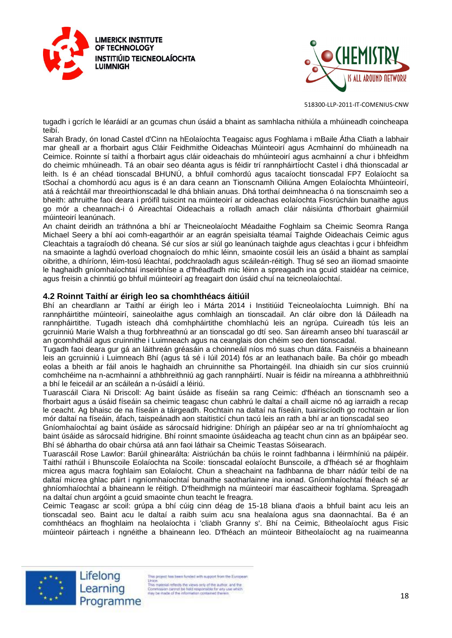



tugadh i gcrích le léaráidí ar an gcumas chun úsáid a bhaint as samhlacha nithiúla a mhúineadh coincheapa teibí.

Sarah Brady, ón Ionad Castel d'Cinn na hEolaíochta Teagaisc agus Foghlama i mBaile Átha Cliath a labhair mar gheall ar a fhorbairt agus Cláir Feidhmithe Oideachas Múinteoirí agus Acmhainní do mhúineadh na Ceimice. Roinnte sí taithí a fhorbairt agus cláir oideachais do mhúinteoirí agus acmhainní a chur i bhfeidhm do cheimic mhúineadh. Tá an obair seo déanta agus is féidir trí rannpháirtíocht Castel i dhá thionscadal ar leith. Is é an chéad tionscadal BHUNÚ, a bhfuil comhordú agus tacaíocht tionscadal FP7 Eolaíocht sa tSochaí a chomhordú acu agus is é an dara ceann an Tionscnamh Oiliúna Amgen Eolaíochta Mhúinteoirí, atá á reáchtáil mar threoirthionscadal le dhá bhliain anuas. Dhá torthaí deimhneacha ó na tionscnaimh seo a bheith: athruithe faoi deara i próifíl tuiscint na múinteoirí ar oideachas eolaíochta Fiosrúcháin bunaithe agus go mór a cheannach-i ó Aireachtaí Oideachais a rolladh amach cláir náisiúnta d'fhorbairt ghairmiúil múinteoirí leanúnach.

An chaint deiridh an tráthnóna a bhí ar Theicneolaíocht Méadaithe Foghlaim sa Cheimic Seomra Ranga Michael Seery a bhí aoi comh-eagarthóir ar an eagrán speisialta téamaí Taighde Oideachais Ceimic agus Cleachtais a tagraíodh dó cheana. Sé cur síos ar siúl go leanúnach taighde agus cleachtas i gcur i bhfeidhm na smaointe a laghdú overload chognaíoch do mhic léinn, smaointe cosúil leis an úsáid a bhaint as samplaí oibrithe, a dhíríonn, léim-tosú léachtaí, podchraoladh agus scáileán-réitigh. Thug sé seo an iliomad smaointe le haghaidh gníomhaíochtaí inseirbhíse a d'fhéadfadh mic léinn a spreagadh ina gcuid staidéar na ceimice, agus freisin a chinntiú go bhfuil múinteoirí ag freagairt don úsáid chuí na teicneolaíochtaí.

#### **4.2 Roinnt Taithí ar éirigh leo sa chomhthéacs áitiúil**

Bhí an cheardlann ar Taithí ar éirigh leo i Márta 2014 i Institiúid Teicneolaíochta Luimnigh. Bhí na rannpháirtithe múinteoirí, saineolaithe agus comhlaigh an tionscadail. An clár oibre don lá Dáileadh na rannpháirtithe. Tugadh isteach dhá comhpháirtithe chomhlachú leis an ngrúpa. Cuireadh tús leis an gcruinniú Marie Walsh a thug forbhreathnú ar an tionscadal go dtí seo. San áireamh anseo bhí tuarascáil ar an gcomhdháil agus cruinnithe i Luimneach agus na ceanglais don chéim seo den tionscadal.

Tugadh faoi deara gur gá an láithreán gréasáin a choinneáil níos mó suas chun dáta. Faisnéis a bhaineann leis an gcruinniú i Luimneach Bhí (agus tá sé i Iúil 2014) fós ar an leathanach baile. Ba chóir go mbeadh eolas a bheith ar fáil anois le haghaidh an chruinnithe sa Phortaingéil. Ina dhiaidh sin cur síos cruinniú comhchéime na n-acmhainní a athbhreithniú ag gach rannpháirtí. Nuair is féidir na míreanna a athbhreithniú a bhí le feiceáil ar an scáileán a n-úsáidí a léiriú.

Tuarascáil Ciara Ni Driscoll: Ag baint úsáide as físeáin sa rang Ceimic: d'fhéach an tionscnamh seo a fhorbairt agus a úsáid físeáin sa cheimic teagasc chun cabhrú le daltaí a chaill aicme nó ag iarraidh a recap le ceacht. Ag bhaisc de na físeáin a táirgeadh. Rochtain na daltaí na físeáin, tuairiscíodh go rochtain ar líon mór daltaí na físeáin, áfach, taispeánadh aon staitisticí chun tacú leis an rath a bhí ar an tionscadal seo

Gníomhaíochtaí ag baint úsáide as sárocsaíd hidrigine: Dhírigh an páipéar seo ar na trí ghníomhaíocht ag baint úsáide as sárocsaíd hidrigine. Bhí roinnt smaointe úsáideacha ag teacht chun cinn as an bpáipéar seo. Bhí sé ábhartha do obair chúrsa atá ann faoi láthair sa Cheimic Teastas Sóisearach.

Tuarascáil Rose Lawlor: Barúil ghinearálta: Aistriúchán ba chúis le roinnt fadhbanna i léirmhíniú na páipéir. Taithí rathúil i Bhunscoile Eolaíochta na Scoile: tionscadal eolaíocht Bunscoile, a d'fhéach sé ar fhoghlaim micrea agus macra foghlaim san Eolaíocht. Chun a sheachaint na fadhbanna de bharr nádúr teibí de na daltaí micrea ghlac páirt i ngníomhaíochtaí bunaithe saotharlainne ina ionad. Gníomhaíochtaí fhéach sé ar ghníomhaíochtaí a bhaineann le réitigh. D'fheidhmigh na múinteoirí mar éascaitheoir foghlama. Spreagadh na daltaí chun argóint a gcuid smaointe chun teacht le freagra.

Ceimic Teagasc ar scoil: grúpa a bhí cúig cinn déag de 15-18 bliana d'aois a bhfuil baint acu leis an tionscadal seo. Baint acu le daltaí a raibh suim acu sna healaíona agus sna daonnachtaí. Ba é an comhthéacs an fhoghlaim na heolaíochta i 'cliabh Granny s'. Bhí na Ceimic, Bitheolaíocht agus Fisic múinteoir páirteach i ngnéithe a bhaineann leo. D'fhéach an múinteoir Bitheolaíocht ag na ruaimeanna



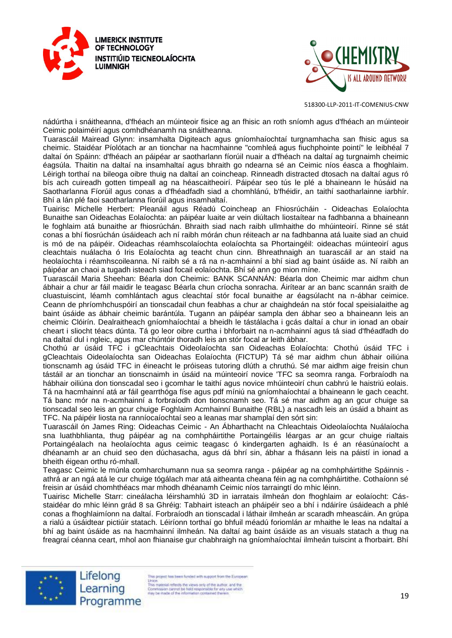



nádúrtha i snáitheanna, d'fhéach an múinteoir fisice ag an fhisic an roth sníomh agus d'fhéach an múinteoir Ceimic polaiméirí agus comhdhéanamh na snáitheanna.

Tuarascáil Mairead Glynn: insamhalta Digiteach agus gníomhaíochtaí turgnamhacha san fhisic agus sa cheimic. Staidéar Píolótach ar an tionchar na hacmhainne "comhleá agus fiuchphointe pointí" le leibhéal 7 daltaí ón Spáinn: d'fhéach an páipéar ar saotharlann fíorúil nuair a d'fhéach na daltaí ag turgnaimh cheimic éagsúla. Thaitin na daltaí na insamhaltaí agus bhraith go ndearna sé an Ceimic níos éasca a fhoghlaim. Léirigh torthaí na bileoga oibre thuig na daltaí an coincheap. Rinneadh distracted dtosach na daltaí agus ró bís ach cuireadh gotten timpeall ag na héascaitheoirí. Páipéar seo tús le plé a bhaineann le húsáid na Saotharlanna Fíorúil agus conas a d'fhéadfadh siad a chomhlánú, b'fhéidir, an taithí saotharlainne iarbhír. Bhí a lán plé faoi saotharlanna fíorúil agus insamhaltaí.

Tuairisc Michelle Herbert: Pleanáil agus Réadú Coincheap an Fhiosrúcháin - Oideachas Eolaíochta Bunaithe san Oideachas Eolaíochta: an páipéar luaite ar vein diúltach liostaítear na fadhbanna a bhaineann le foghlaim atá bunaithe ar fhiosrúchán. Bhraith siad nach raibh ullmhaithe do mhúinteoirí. Rinne sé stát conas a bhí fiosrúchán úsáideach ach ní raibh mórán chun réiteach ar na fadhbanna atá luaite siad an chuid is mó de na páipéir. Oideachas réamhscolaíochta eolaíochta sa Phortaingéil: oideachas múinteoirí agus cleachtais nuálacha ó Iris Eolaíochta ag teacht chun cinn. Bhreathnaigh an tuarascáil ar an staid na heolaíochta i réamhscoileanna. Ní raibh sé a rá na n-acmhainní a bhí siad ag baint úsáide as. Ní raibh an páipéar an chaoi a tugadh isteach siad focail eolaíochta. Bhí sé ann go mion míne.

Tuarascáil Maria Sheehan: Béarla don Cheimic: BANK SCANNÁN: Béarla don Cheimic mar aidhm chun ábhair a chur ar fáil maidir le teagasc Béarla chun críocha sonracha. Áirítear ar an banc scannán sraith de cluastuiscint, léamh comhlántach agus cleachtaí stór focal bunaithe ar éagsúlacht na n-ábhar ceimice. Ceann de phríomhchuspóirí an tionscadail chun feabhas a chur ar chaighdeán na stór focal speisialaithe ag baint úsáide as ábhair cheimic barántúla. Tugann an páipéar sampla den ábhar seo a bhaineann leis an cheimic Clóirín. Dealraitheach gníomhaíochtaí a bheidh le tástálacha i gcás daltaí a chur in ionad an obair cheart i sliocht téacs dúnta. Tá go leor oibre curtha i bhforbairt na n-acmhainní agus tá siad d'fhéadfadh do na daltaí dul i ngleic, agus mar chúntóir thoradh leis an stór focal ar leith ábhar.

Chothú ar úsáid TFC i gCleachtais Oideolaíochta san Oideachas Eolaíochta: Chothú úsáid TFC i gCleachtais Oideolaíochta san Oideachas Eolaíochta (FICTUP) Tá sé mar aidhm chun ábhair oiliúna tionscnamh ag úsáid TFC in éineacht le próiseas tutoring dlúth a chruthú. Sé mar aidhm aige freisin chun tástáil ar an tionchar an tionscnaimh in úsáid na múinteoirí novice 'TFC sa seomra ranga. Forbraíodh na hábhair oiliúna don tionscadal seo i gcomhar le taithí agus novice mhúinteoirí chun cabhrú le haistriú eolais. Tá na hacmhainní atá ar fáil gearrthóga físe agus pdf míniú na gníomhaíochtaí a bhaineann le gach ceacht. Tá banc mór na n-acmhainní a forbraíodh don tionscnamh seo. Tá sé mar aidhm ag an gcur chuige sa tionscadal seo leis an gcur chuige Foghlaim Acmhainní Bunaithe (RBL) a nascadh leis an úsáid a bhaint as TFC. Na páipéir liosta na ranníocaíochtaí seo a leanas mar shamplaí den sórt sin:

Tuarascáil ón James Ring: Oideachas Ceimic - An Ábharthacht na Chleachtais Oideolaíochta Nuálaíocha sna luathbhlianta, thug páipéar ag na comhpháirtithe Portaingéilis léargas ar an gcur chuige rialtais Portaingéalach na heolaíochta agus ceimic teagasc ó kindergarten aghaidh. Is é an réasúnaíocht a dhéanamh ar an chuid seo den dúchasacha, agus dá bhrí sin, ábhar a fhásann leis na páistí in ionad a bheith éigean orthu ró-mhall.

Teagasc Ceimic le múnla comharchumann nua sa seomra ranga - páipéar ag na comhpháirtithe Spáinnis athrá ar an ngá atá le cur chuige tógálach mar atá aitheanta cheana féin ag na comhpháirtithe. Cothaíonn sé freisin ar úsáid chomhthéacs mar mhodh dhéanamh Ceimic níos tarraingtí do mhic léinn.

Tuairisc Michelle Starr: cineálacha léirshamhlú 3D in iarratais ilmheán don fhoghlaim ar eolaíocht: Cásstaidéar do mhic léinn grád 8 sa Ghréig: Tabhairt isteach an pháipéir seo a bhí i ndáiríre úsáideach a phlé conas a fhoghlaimíonn na daltaí. Forbraíodh an tionscadal i láthair ilmheán ar scaradh mheascáin. An grúpa a rialú a úsáidtear pictiúir statach. Léiríonn torthaí go bhfuil méadú foriomlán ar mhaithe le leas na ndaltaí a bhí ag baint úsáide as na hacmhainní ilmheán. Na daltaí ag baint úsáide as an visuals statach a thug na freagraí céanna ceart, mhol aon fhianaise gur chabhraigh na gníomhaíochtaí ilmheán tuiscint a fhorbairt. Bhí



Lifelong Learning Programme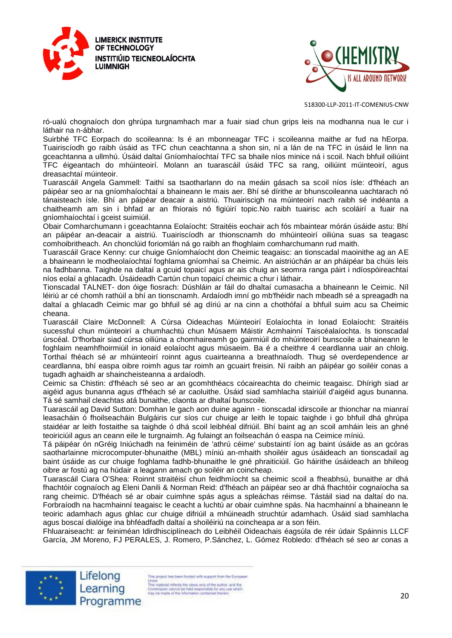



ró-ualú chognaíoch don ghrúpa turgnamhach mar a fuair siad chun grips leis na modhanna nua le cur i láthair na n-ábhar.

Suirbhé TFC Eorpach do scoileanna: Is é an mbonneagar TFC i scoileanna maithe ar fud na hEorpa. Tuairiscíodh go raibh úsáid as TFC chun ceachtanna a shon sin, ní a lán de na TFC in úsáid le linn na gceachtanna a ullmhú. Úsáid daltaí Gníomhaíochtaí TFC sa bhaile níos minice ná i scoil. Nach bhfuil oiliúint TFC éigeantach do mhúinteoirí. Molann an tuarascáil úsáid TFC sa rang, oiliúint múinteoirí, agus dreasachtaí múinteoir.

Tuarascáil Angela Gammell: Taithí sa tsaotharlann do na meáin gásach sa scoil níos ísle: d'fhéach an páipéar seo ar na gníomhaíochtaí a bhaineann le mais aer. Bhí sé dírithe ar bhunscoileanna uachtarach nó tánaisteach ísle. Bhí an páipéar deacair a aistriú. Thuairiscigh na múinteoirí nach raibh sé indéanta a chaitheamh am sin i bhfad ar an fhíorais nó figiúirí topic.No raibh tuairisc ach scoláirí a fuair na gníomhaíochtaí i gceist suimiúil.

Obair Comharchumann i gceachtanna Eolaíocht: Straitéis eochair ach fós mbaintear mórán úsáide astu: Bhí an páipéar an-deacair a aistriú. Tuairiscíodh ar thionscnamh do mhúinteoirí oiliúna suas sa teagasc comhoibritheach. An chonclúid foriomlán ná go raibh an fhoghlaim comharchumann rud maith.

Tuarascáil Grace Kenny: cur chuige Gníomhaíocht don Cheimic teagaisc: an tionscadal maoinithe ag an AE a bhaineann le modheolaíochtaí foghlama gníomhaí sa Cheimic. An aistriúchán ar an pháipéar ba chúis leis na fadhbanna. Taighde na daltaí a gcuid topaicí agus ar ais chuig an seomra ranga páirt i ndíospóireachtaí níos eolaí a ghlacadh. Úsáideadh Cartún chun topaicí cheimic a chur i láthair.

Tionscadal TALNET- don óige fiosrach: Dúshláin ar fáil do dhaltaí cumasacha a bhaineann le Ceimic. Níl léiriú ar cé chomh rathúil a bhí an tionscnamh. Ardaíodh imní go mb'fhéidir nach mbeadh sé a spreagadh na daltaí a ghlacadh Ceimic mar go bhfuil sé ag díriú ar na cinn a chothófaí a bhfuil suim acu sa Cheimic cheana.

Tuarascáil Claire McDonnell: A Cúrsa Oideachas Múinteoirí Eolaíochta in Ionad Eolaíocht: Straitéis sucessful chun múinteoirí a chumhachtú chun Músaem Máistir Acmhainní Taiscéalaíochta. Is tionscadal úrscéal. D'fhorbair siad cúrsa oiliúna a chomhaireamh go gairmiúil do mhúinteoirí bunscoile a bhaineann le foghlaim neamhfhoirmiúil in ionaid eolaíocht agus músaeim. Ba é a cheithre 4 ceardlanna uair an chloig. Torthaí fhéach sé ar mhúinteoirí roinnt agus cuairteanna a breathnaíodh. Thug sé overdependence ar ceardlanna, bhí easpa oibre roimh agus tar roimh an gcuairt freisin. Ní raibh an páipéar go soiléir conas a tugadh aghaidh ar shaincheisteanna a ardaíodh.

Ceimic sa Chistin: d'fhéach sé seo ar an gcomhthéacs cócaireachta do cheimic teagaisc. Dhírigh siad ar aigéid agus bunanna agus d'fhéach sé ar caoluithe. Úsáid siad samhlacha stairiúil d'aigéid agus bunanna. Tá sé samhail cleachtas atá bunaithe, claonta ar dhaltaí bunscoile.

Tuarascáil ag David Sutton: Domhan le gach aon duine againn - tionscadal idirscoile ar thionchar na mianraí leasacháin ó fhoilseacháin Bulgáiris cur síos cur chuige ar leith le topaic taighde i go bhfuil dhá ghrúpa staidéar ar leith fostaithe sa taighde ó dhá scoil leibhéal difriúil. Bhí baint ag an scoil amháin leis an ghné teoiriciúil agus an ceann eile le turgnaimh. Ag fulaingt an foilseachán ó easpa na Ceimice míniú.

Tá páipéar ón nGréig Iniúchadh na feiniméin de 'athrú céime' substaintí íon ag baint úsáide as an gcóras saotharlainne microcomputer-bhunaithe (MBL) míniú an-mhaith shoiléir agus úsáideach an tionscadail ag baint úsáide as cur chuige foghlama fadhb-bhunaithe le gné phraiticiúil. Go háirithe úsáideach an bhileog oibre ar fostú ag na húdair a leagann amach go soiléir an coincheap.

Tuarascáil Ciara O'Shea: Roinnt straitéisí chun feidhmíocht sa cheimic scoil a fheabhsú, bunaithe ar dhá fhachtóir cognaíoch ag Eleni Danili & Norman Reid: d'fhéach an páipéar seo ar dhá fhachtóir cognaíocha sa rang cheimic. D'fhéach sé ar obair cuimhne spás agus a spleáchas réimse. Tástáil siad na daltaí do na. Forbraíodh na hacmhainní teagaisc le ceacht a luchtú ar obair cuimhne spás. Na hacmhainní a bhaineann le teoiric adamhach agus ghlac cur chuige difriúil a mhúineadh struchtúr adamhach. Úsáid siad samhlacha agus boscaí dialóige ina bhféadfadh daltaí a shoiléiriú na coincheapa ar a son féin.

Fhluaraiseacht: ar feiniméan Idirdhisciplíneach do Leibhéil Oideachais éagsúla de réir údair Spáinnis LLCF García, JM Moreno, FJ PERALES, J. Romero, P.Sánchez, L. Gómez Robledo: d'fhéach sé seo ar conas a



Lifelong Learning Programme

is project has been funded with support from the European Union.<br>This material reflects the views only of the author, and the<br>Commission cannot be hisld responsible for any use which<br>may be made of the information contained therein<br>may be made of the information contained therein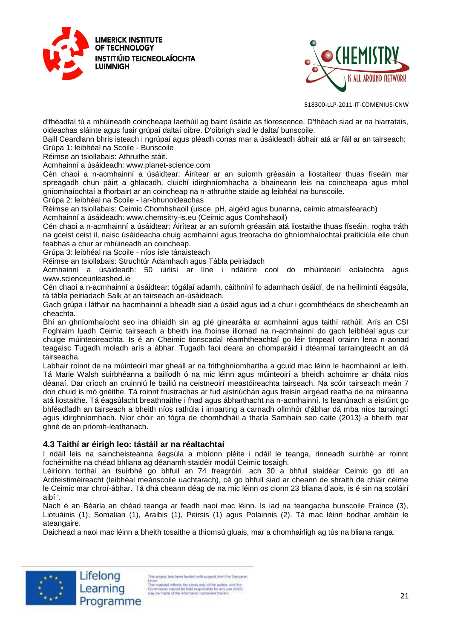



d'fhéadfaí tú a mhúineadh coincheapa laethúil ag baint úsáide as florescence. D'fhéach siad ar na hiarratais, oideachas sláinte agus fuair grúpaí daltaí oibre. D'oibrigh siad le daltaí bunscoile.

Baill Ceardlann bhris isteach i ngrúpaí agus pléadh conas mar a úsáideadh ábhair atá ar fáil ar an tairseach: Grúpa 1: leibhéal na Scoile - Bunscoile

Réimse an tsiollabais: Athruithe stáit.

Acmhainní a úsáideadh: www.planet-science.com

Cén chaoi a n-acmhainní a úsáidtear: Áirítear ar an suíomh gréasáin a liostaítear thuas físeáin mar spreagadh chun páirt a ghlacadh, cluichí idirghníomhacha a bhaineann leis na coincheapa agus mhol gníomhaíochtaí a fhorbairt ar an coincheap na n-athruithe staide ag leibhéal na bunscoile.

Grúpa 2: leibhéal na Scoile - Iar-bhunoideachas

Réimse an tsiollabais: Ceimic Chomhshaoil (uisce, pH, aigéid agus bunanna, ceimic atmaisféarach)

Acmhainní a úsáideadh: www.chemsitry-is.eu (Ceimic agus Comhshaoil)

Cén chaoi a n-acmhainní a úsáidtear: Áirítear ar an suíomh gréasáin atá liostaithe thuas físeáin, rogha tráth na gceist ceist il, naisc úsáideacha chuig acmhainní agus treoracha do ghníomhaíochtaí praiticiúla eile chun feabhas a chur ar mhúineadh an coincheap.

Grúpa 3: leibhéal na Scoile - níos ísle tánaisteach

Réimse an tsiollabais: Struchtúr Adamhach agus Tábla peiriadach

Acmhainní a úsáideadh: 50 uirlisí ar líne i ndáiríre cool do mhúinteoirí eolaíochta agus www.scienceunleashed.ie

Cén chaoi a n-acmhainní a úsáidtear: tógálaí adamh, cáithníní fo adamhach úsáidí, de na heilimintí éagsúla, tá tábla peiriadach Salk ar an tairseach an-úsáideach.

Gach grúpa i láthair na hacmhainní a bheadh siad a úsáid agus iad a chur i gcomhthéacs de sheicheamh an cheachta.

Bhí an ghníomhaíocht seo ina dhiaidh sin ag plé ginearálta ar acmhainní agus taithí rathúil. Arís an CSI Foghlaim luadh Ceimic tairseach a bheith ina fhoinse iliomad na n-acmhainní do gach leibhéal agus cur chuige múinteoireachta. Is é an Cheimic tionscadal réamhtheachtaí go léir timpeall orainn lena n-aonad teagaisc Tugadh moladh arís a ábhar. Tugadh faoi deara an chomparáid i dtéarmaí tarraingteacht an dá tairseacha.

Labhair roinnt de na múinteoirí mar gheall ar na frithghníomhartha a gcuid mac léinn le hacmhainní ar leith. Tá Marie Walsh suirbhéanna a bailíodh ó na mic léinn agus múinteoirí a bheidh achoimre ar dháta níos déanaí. Dar críoch an cruinniú le bailiú na ceistneoirí meastóireachta tairseach. Na scóir tairseach meán 7 don chuid is mó gnéithe. Tá roinnt frustrachas ar fud aistriúchán agus freisin airgead reatha de na míreanna atá liostaithe. Tá éagsúlacht breathnaithe i fhad agus ábharthacht na n-acmhainní. Is leanúnach a eisiúint go bhféadfadh an tairseach a bheith níos rathúla i imparting a carnadh ollmhór d'ábhar dá mba níos tarraingtí agus idirghníomhach. Níor chóir an fógra de chomhdháil a tharla Samhain seo caite (2013) a bheith mar ghné de an príomh-leathanach.

#### **4.3 Taithí ar éirigh leo: tástáil ar na réaltachtaí**

I ndáil leis na saincheisteanna éagsúla a mbíonn pléite i ndáil le teanga, rinneadh suirbhé ar roinnt fochéimithe na chéad bhliana ag déanamh staidéir modúl Ceimic tosaigh.

Léiríonn torthaí an tsuirbhé go bhfuil an 74 freagróirí, ach 30 a bhfuil staidéar Ceimic go dtí an Ardteistiméireacht (leibhéal meánscoile uachtarach), cé go bhfuil siad ar cheann de shraith de chláir céime le Ceimic mar chroí-ábhar. Tá dhá cheann déag de na mic léinn os cionn 23 bliana d'aois, is é sin na scoláirí aibí '.

Nach é an Béarla an chéad teanga ar feadh naoi mac léinn. Is iad na teangacha bunscoile Fraince (3), Liotuáinis (1), Somalian (1), Araibis (1), Peirsis (1) agus Polainnis (2). Tá mac léinn bodhar amháin le ateangaire.

Daichead a naoi mac léinn a bheith tosaithe a thiomsú gluais, mar a chomhairligh ag tús na bliana ranga.





is project has been funded with support from the European Union<br>
This material reflects the views only of the author, and the<br>
This material reflects the views only of the author, and the<br>
free parameters cannot be hidd responsible for any use which<br>
rely be made of the informat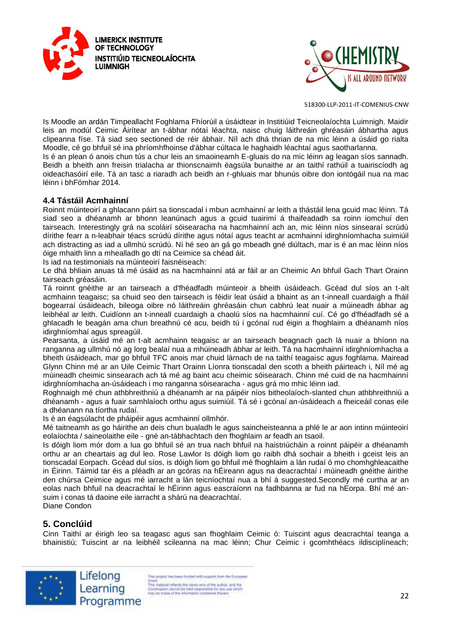



Is Moodle an ardán Timpeallacht Foghlama Fhíorúil a úsáidtear in Institiúid Teicneolaíochta Luimnigh. Maidir leis an modúl Ceimic Áirítear an t-ábhar nótaí léachta, naisc chuig láithreáin ghréasáin ábhartha agus clipeanna físe. Tá siad seo sectioned de réir ábhair. Níl ach dhá thrian de na mic léinn a úsáid go rialta Moodle, cé go bhfuil sé ina phríomhfhoinse d'ábhar cúltaca le haghaidh léachtaí agus saotharlanna.

Is é an plean ó anois chun tús a chur leis an smaoineamh E-gluais do na mic léinn ag leagan síos sannadh. Beidh a bheith ann freisin trialacha ar thionscnaimh éagsúla bunaithe ar an taithí rathúil a tuairiscíodh ag oideachasóirí eile. Tá an tasc a riaradh ach beidh an r-ghluais mar bhunús oibre don iontógáil nua na mac léinn i bhFómhar 2014.

#### **4.4 Tástáil Acmhainní**

Roinnt múinteoirí a ghlacann páirt sa tionscadal i mbun acmhainní ar leith a thástáil lena gcuid mac léinn. Tá siad seo a dhéanamh ar bhonn leanúnach agus a gcuid tuairimí á thaifeadadh sa roinn iomchuí den tairseach. Interestingly grá na scoláirí sóisearacha na hacmhainní ach an, mic léinn níos sinsearaí scrúdú dírithe fearr a n-leabhair téacs scrúdú dírithe agus nótaí agus teacht ar acmhainní idirghníomhacha suimiúil ach distracting as iad a ullmhú scrúdú. Ní hé seo an gá go mbeadh gné diúltach, mar is é an mac léinn níos óige mhaith linn a mhealladh go dtí na Ceimice sa chéad áit.

Is iad na testimonials na múinteoirí faisnéiseach:

Le dhá bhliain anuas tá mé úsáid as na hacmhainní atá ar fáil ar an Cheimic An bhfuil Gach Thart Orainn tairseach gréasáin.

Tá roinnt gnéithe ar an tairseach a d'fhéadfadh múinteoir a bheith úsáideach. Gcéad dul síos an t-alt acmhainn teagaisc; sa chuid seo den tairseach is féidir leat úsáid a bhaint as an t-inneall cuardaigh a fháil bogearraí úsáideach, bileoga oibre nó láithreáin ghréasáin chun cabhrú leat nuair a múineadh ábhar ag leibhéal ar leith. Cuidíonn an t-inneall cuardaigh a chaolú síos na hacmhainní cuí. Cé go d'fhéadfadh sé a ghlacadh le beagán ama chun breathnú cé acu, beidh tú i gcónaí rud éigin a fhoghlaim a dhéanamh níos idirghníomhaí agus spreagúil.

Pearsanta, a úsáid mé an t-alt acmhainn teagaisc ar an tairseach beagnach gach lá nuair a bhíonn na ranganna ag ullmhú nó ag lorg bealaí nua a mhúineadh ábhar ar leith. Tá na hacmhainní idirghníomhacha a bheith úsáideach, mar go bhfuil TFC anois mar chuid lárnach de na taithí teagaisc agus foghlama. Mairead Glynn Chinn mé ar an Uile Ceimic Thart Orainn Líonra tionscadal den scoth a bheith páirteach i, Níl mé ag múineadh cheimic sinsearach ach tá mé ag baint acu cheimic sóisearach. Chinn mé cuid de na hacmhainní idirghníomhacha an-úsáideach i mo ranganna sóisearacha - agus grá mo mhic léinn iad.

Roghnaigh mé chun athbhreithniú a dhéanamh ar na páipéir níos bitheolaíoch-slanted chun athbhreithniú a dhéanamh - agus a fuair samhlaíoch orthu agus suimiúil. Tá sé i gcónaí an-úsáideach a fheiceáil conas eile a dhéanann na tíortha rudaí.

Is é an éagsúlacht de pháipéir agus acmhainní ollmhór.

Mé taitneamh as go háirithe an deis chun bualadh le agus saincheisteanna a phlé le ar aon intinn múinteoirí eolaíochta / saineolaithe eile - gné an-tábhachtach den fhoghlaim ar feadh an tsaoil.

Is dóigh liom mór dom a lua go bhfuil sé an trua nach bhfuil na haistriúcháin a roinnt páipéir a dhéanamh orthu ar an cheartais ag dul leo. Rose Lawlor Is dóigh liom go raibh dhá sochair a bheith i gceist leis an tionscadal Eorpach. Gcéad dul síos, is dóigh liom go bhfuil mé fhoghlaim a lán rudaí ó mo chomhghleacaithe in Éirinn. Táimid tar éis a pléadh ar an gcóras na hÉireann agus na deacrachtaí i múineadh gnéithe áirithe den chúrsa Ceimice agus mé iarracht a lán teicníochtaí nua a bhí á suggested.Secondly mé curtha ar an eolas nach bhfuil na deacrachtaí le hÉirinn agus eascraíonn na fadhbanna ar fud na hEorpa. Bhí mé ansuim i conas tá daoine eile iarracht a shárú na deacrachtaí. Diane Condon

# **5. Conclúid**

Cinn Taithí ar éirigh leo sa teagasc agus san fhoghlaim Ceimic ó: Tuiscint agus deacrachtaí teanga a bhainistiú; Tuiscint ar na leibhéil scileanna na mac léinn; Chur Ceimic i gcomhthéacs ildisciplíneach;





is project has been funded with support from the European Union.<br>This material reflects the views only of the author, and the<br>Commission cannot be hild responsible for any use which<br>may be made of the information contained therein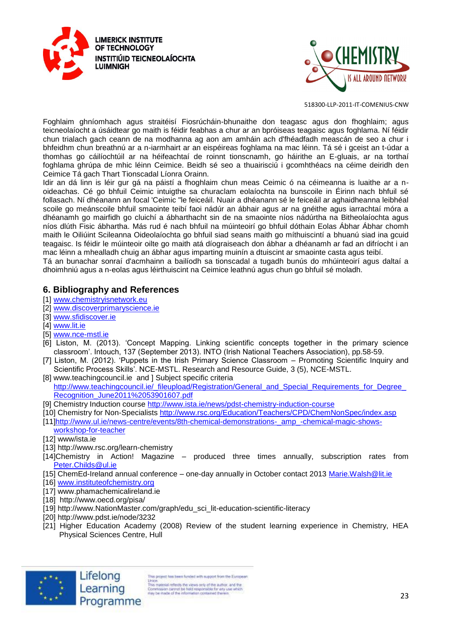



Foghlaim ghníomhach agus straitéisí Fiosrúcháin-bhunaithe don teagasc agus don fhoghlaim; agus teicneolaíocht a úsáidtear go maith is féidir feabhas a chur ar an bpróiseas teagaisc agus foghlama. Ní féidir chun trialach gach ceann de na modhanna ag aon am amháin ach d'fhéadfadh meascán de seo a chur i bhfeidhm chun breathnú ar a n-iarmhairt ar an eispéireas foghlama na mac léinn. Tá sé i gceist an t-údar a thomhas go cáilíochtúil ar na héifeachtaí de roinnt tionscnamh, go háirithe an E-gluais, ar na torthaí foghlama ghrúpa de mhic léinn Ceimice. Beidh sé seo a thuairisciú i gcomhthéacs na céime deiridh den Ceimice Tá gach Thart Tionscadal Líonra Orainn.

Idir an dá linn is léir gur gá na páistí a fhoghlaim chun meas Ceimic ó na céimeanna is luaithe ar a noideachas. Cé go bhfuil Ceimic intuigthe sa churaclam eolaíochta na bunscoile in Éirinn nach bhfuil sé follasach. Ní dhéanann an focal 'Ceimic "le feiceáil. Nuair a dhéanann sé le feiceáil ar aghaidheanna leibhéal scoile go meánscoile bhfuil smaointe teibí faoi nádúr an ábhair agus ar na gnéithe agus iarrachtaí móra a dhéanamh go mairfidh go cluichí a ábharthacht sin de na smaointe níos nádúrtha na Bitheolaíochta agus níos dlúth Fisic ábhartha. Más rud é nach bhfuil na múinteoirí go bhfuil dóthain Eolas Ábhar Ábhar chomh maith le Oiliúint Scileanna Oideolaíochta go bhfuil siad seans maith go míthuiscintí a bhuanú siad ina gcuid teagaisc. Is féidir le múinteoir oilte go maith atá díograiseach don ábhar a dhéanamh ar fad an difríocht i an mac léinn a mhealladh chuig an ábhar agus imparting muinín a dtuiscint ar smaointe casta agus teibí.

Tá an bunachar sonraí d'acmhainn a bailíodh sa tionscadal a tugadh bunús do mhúinteoirí agus daltaí a dhoimhniú agus a n-eolas agus léirthuiscint na Ceimice leathnú agus chun go bhfuil sé moladh.

# **6. Bibliography and References**

- [1] [www.chemistryisnetwork.eu](http://www.chemistryisnetwork.eu/)
- [2] [www.discoverprimaryscience.ie](http://www.discoverprimaryscience.ie/)
- [3] [www.sfidiscover.ie](http://www.sfidiscover.ie/)
- [4] [www.lit.ie](http://www.lit.ie/)
- [5] [www.nce-mstl.ie](http://www.nce-mstl.ie/)
- [6] Liston, M. (2013). 'Concept Mapping. Linking scientific concepts together in the primary science classroom'. Intouch, 137 (September 2013). INTO (Irish National Teachers Association), pp.58-59.
- [7] Liston, M. (2012). 'Puppets in the Irish Primary Science Classroom Promoting Scientific Inquiry and Scientific Process Skills'. NCE-MSTL. Research and Resource Guide, 3 (5), NCE-MSTL.
- [8] www.teachingcouncil.ie and ] Subject specific criteria http://www.teachingcouncil.ie/\_fileupload/Registration/General\_and\_Special\_Requirements\_for\_Degree [Recognition\\_June2011%2053901607.pdf](http://www.teachingcouncil.ie/_fileupload/Registration/General_and_Special_Requirements_for_Degree_Recognition_June2011%2053901607.pdf)
- [9] Chemistry Induction course<http://www.ista.ie/news/pdst-chemistry-induction-course>
- [10] Chemistry for Non-Specialists<http://www.rsc.org/Education/Teachers/CPD/ChemNonSpec/index.asp>
- [11[\]http://www.ul.ie/news-centre/events/8th-chemical-demonstrations-\\_amp\\_-chemical-magic-shows](http://www.ul.ie/news-centre/events/8th-chemical-demonstrations-_amp_-chemical-magic-shows-workshop-for-teacher)[workshop-for-teacher](http://www.ul.ie/news-centre/events/8th-chemical-demonstrations-_amp_-chemical-magic-shows-workshop-for-teacher)
- [12] www/ista.ie
- [13] http://www.rsc.org/learn-chemistry
- [14]Chemistry in Action! Magazine produced three times annually, subscription rates from [Peter.Childs@ul.ie](mailto:Peter.Childs@ul.ie)
- [15] ChemEd-Ireland annual conference one-day annually in October contact 2013 [Marie.Walsh@lit.ie](mailto:Marie.Walsh@lit.ie)
- [16] [www.instituteofchemistry.org](http://www.instituteofchemistry.org/)
- [17] www.phamachemicalireland.ie
- [18] http://www.oecd.org/pisa/
- [19] http://www.NationMaster.com/graph/edu\_sci\_lit-education-scientific-literacy
- [20] http://www.pdst.ie/node/3232
- [21] Higher Education Academy (2008) Review of the student learning experience in Chemistry, HEA Physical Sciences Centre, Hull



is project has been funded with support from the European Union.<br>This material reflects the views only of the author, and the<br>Commission cannot be hisld responsible for any use which<br>may be made of the information contained therein<br>may be made of the information contained therein